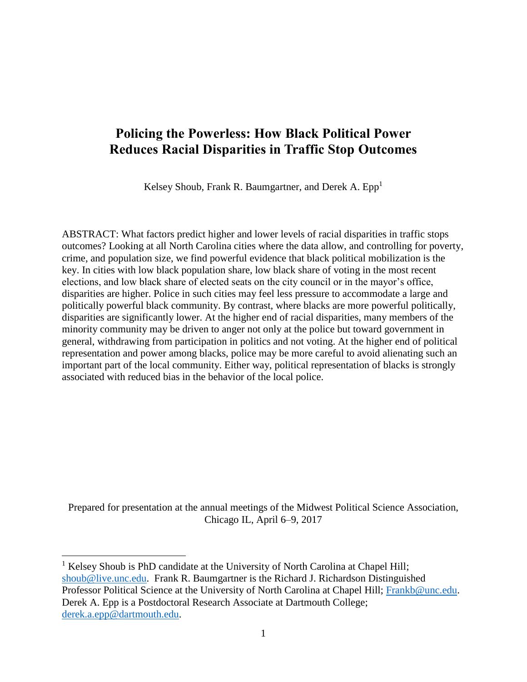# **Policing the Powerless: How Black Political Power Reduces Racial Disparities in Traffic Stop Outcomes**

Kelsey Shoub, Frank R. Baumgartner, and Derek A.  $Epp<sup>1</sup>$ 

ABSTRACT: What factors predict higher and lower levels of racial disparities in traffic stops outcomes? Looking at all North Carolina cities where the data allow, and controlling for poverty, crime, and population size, we find powerful evidence that black political mobilization is the key. In cities with low black population share, low black share of voting in the most recent elections, and low black share of elected seats on the city council or in the mayor's office, disparities are higher. Police in such cities may feel less pressure to accommodate a large and politically powerful black community. By contrast, where blacks are more powerful politically, disparities are significantly lower. At the higher end of racial disparities, many members of the minority community may be driven to anger not only at the police but toward government in general, withdrawing from participation in politics and not voting. At the higher end of political representation and power among blacks, police may be more careful to avoid alienating such an important part of the local community. Either way, political representation of blacks is strongly associated with reduced bias in the behavior of the local police.

Prepared for presentation at the annual meetings of the Midwest Political Science Association, Chicago IL, April 6–9, 2017

<sup>1</sup> Kelsey Shoub is PhD candidate at the University of North Carolina at Chapel Hill; [shoub@live.unc.edu.](mailto:shoub@live.unc.edu) Frank R. Baumgartner is the Richard J. Richardson Distinguished Professor Political Science at the University of North Carolina at Chapel Hill; [Frankb@unc.edu.](mailto:Frankb@unc.edu) Derek A. Epp is a Postdoctoral Research Associate at Dartmouth College; [derek.a.epp@dartmouth.edu.](mailto:derek.a.epp@dartmouth.edu)

 $\overline{a}$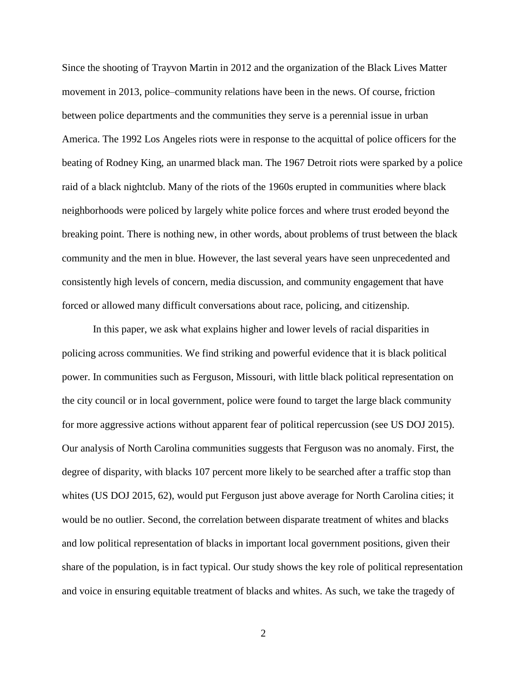Since the shooting of Trayvon Martin in 2012 and the organization of the Black Lives Matter movement in 2013, police–community relations have been in the news. Of course, friction between police departments and the communities they serve is a perennial issue in urban America. The 1992 Los Angeles riots were in response to the acquittal of police officers for the beating of Rodney King, an unarmed black man. The 1967 Detroit riots were sparked by a police raid of a black nightclub. Many of the riots of the 1960s erupted in communities where black neighborhoods were policed by largely white police forces and where trust eroded beyond the breaking point. There is nothing new, in other words, about problems of trust between the black community and the men in blue. However, the last several years have seen unprecedented and consistently high levels of concern, media discussion, and community engagement that have forced or allowed many difficult conversations about race, policing, and citizenship.

In this paper, we ask what explains higher and lower levels of racial disparities in policing across communities. We find striking and powerful evidence that it is black political power. In communities such as Ferguson, Missouri, with little black political representation on the city council or in local government, police were found to target the large black community for more aggressive actions without apparent fear of political repercussion (see US DOJ 2015). Our analysis of North Carolina communities suggests that Ferguson was no anomaly. First, the degree of disparity, with blacks 107 percent more likely to be searched after a traffic stop than whites (US DOJ 2015, 62), would put Ferguson just above average for North Carolina cities; it would be no outlier. Second, the correlation between disparate treatment of whites and blacks and low political representation of blacks in important local government positions, given their share of the population, is in fact typical. Our study shows the key role of political representation and voice in ensuring equitable treatment of blacks and whites. As such, we take the tragedy of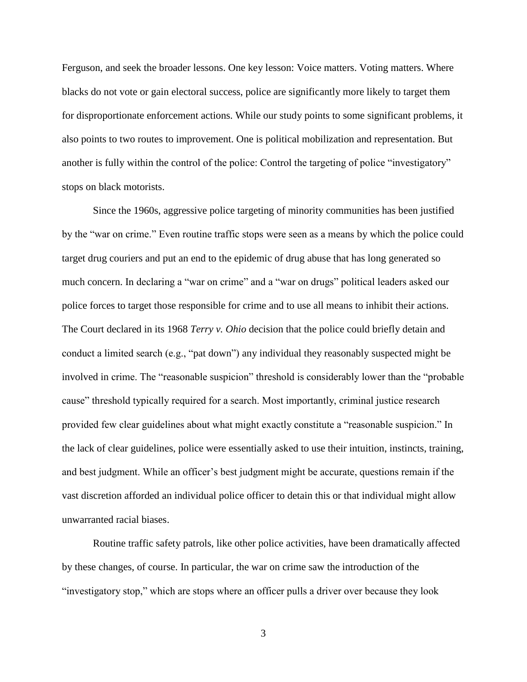Ferguson, and seek the broader lessons. One key lesson: Voice matters. Voting matters. Where blacks do not vote or gain electoral success, police are significantly more likely to target them for disproportionate enforcement actions. While our study points to some significant problems, it also points to two routes to improvement. One is political mobilization and representation. But another is fully within the control of the police: Control the targeting of police "investigatory" stops on black motorists.

Since the 1960s, aggressive police targeting of minority communities has been justified by the "war on crime." Even routine traffic stops were seen as a means by which the police could target drug couriers and put an end to the epidemic of drug abuse that has long generated so much concern. In declaring a "war on crime" and a "war on drugs" political leaders asked our police forces to target those responsible for crime and to use all means to inhibit their actions. The Court declared in its 1968 *Terry v. Ohio* decision that the police could briefly detain and conduct a limited search (e.g., "pat down") any individual they reasonably suspected might be involved in crime. The "reasonable suspicion" threshold is considerably lower than the "probable cause" threshold typically required for a search. Most importantly, criminal justice research provided few clear guidelines about what might exactly constitute a "reasonable suspicion." In the lack of clear guidelines, police were essentially asked to use their intuition, instincts, training, and best judgment. While an officer's best judgment might be accurate, questions remain if the vast discretion afforded an individual police officer to detain this or that individual might allow unwarranted racial biases.

Routine traffic safety patrols, like other police activities, have been dramatically affected by these changes, of course. In particular, the war on crime saw the introduction of the "investigatory stop," which are stops where an officer pulls a driver over because they look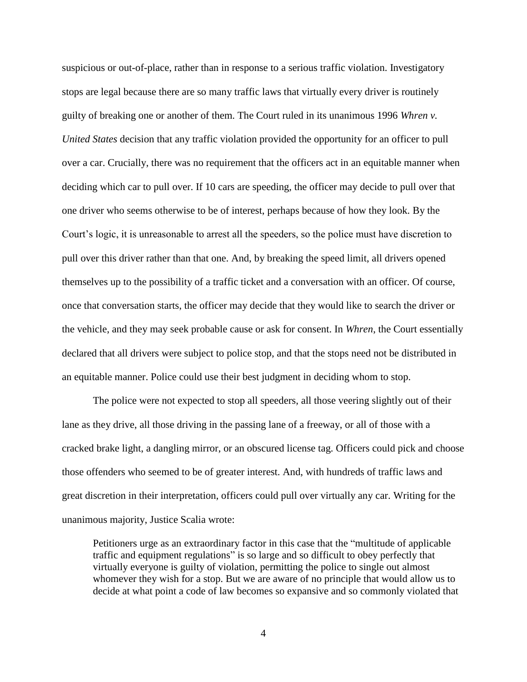suspicious or out-of-place, rather than in response to a serious traffic violation. Investigatory stops are legal because there are so many traffic laws that virtually every driver is routinely guilty of breaking one or another of them. The Court ruled in its unanimous 1996 *Whren v. United States* decision that any traffic violation provided the opportunity for an officer to pull over a car. Crucially, there was no requirement that the officers act in an equitable manner when deciding which car to pull over. If 10 cars are speeding, the officer may decide to pull over that one driver who seems otherwise to be of interest, perhaps because of how they look. By the Court's logic, it is unreasonable to arrest all the speeders, so the police must have discretion to pull over this driver rather than that one. And, by breaking the speed limit, all drivers opened themselves up to the possibility of a traffic ticket and a conversation with an officer. Of course, once that conversation starts, the officer may decide that they would like to search the driver or the vehicle, and they may seek probable cause or ask for consent. In *Whren*, the Court essentially declared that all drivers were subject to police stop, and that the stops need not be distributed in an equitable manner. Police could use their best judgment in deciding whom to stop.

The police were not expected to stop all speeders, all those veering slightly out of their lane as they drive, all those driving in the passing lane of a freeway, or all of those with a cracked brake light, a dangling mirror, or an obscured license tag. Officers could pick and choose those offenders who seemed to be of greater interest. And, with hundreds of traffic laws and great discretion in their interpretation, officers could pull over virtually any car. Writing for the unanimous majority, Justice Scalia wrote:

Petitioners urge as an extraordinary factor in this case that the "multitude of applicable traffic and equipment regulations" is so large and so difficult to obey perfectly that virtually everyone is guilty of violation, permitting the police to single out almost whomever they wish for a stop. But we are aware of no principle that would allow us to decide at what point a code of law becomes so expansive and so commonly violated that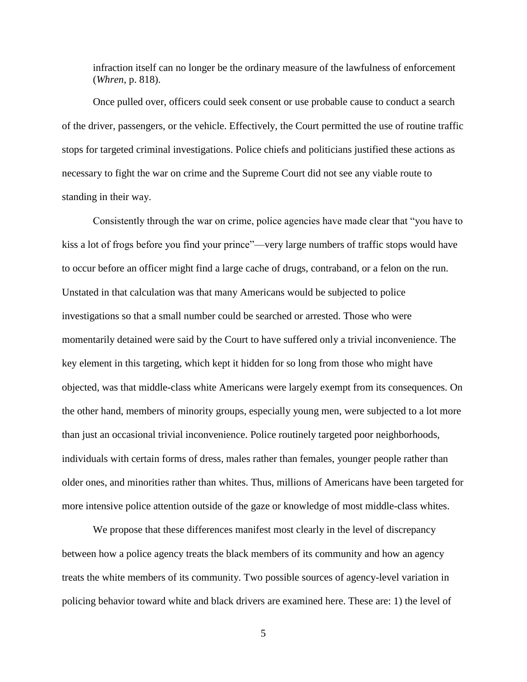infraction itself can no longer be the ordinary measure of the lawfulness of enforcement (*Whren*, p. 818).

Once pulled over, officers could seek consent or use probable cause to conduct a search of the driver, passengers, or the vehicle. Effectively, the Court permitted the use of routine traffic stops for targeted criminal investigations. Police chiefs and politicians justified these actions as necessary to fight the war on crime and the Supreme Court did not see any viable route to standing in their way.

Consistently through the war on crime, police agencies have made clear that "you have to kiss a lot of frogs before you find your prince"—very large numbers of traffic stops would have to occur before an officer might find a large cache of drugs, contraband, or a felon on the run. Unstated in that calculation was that many Americans would be subjected to police investigations so that a small number could be searched or arrested. Those who were momentarily detained were said by the Court to have suffered only a trivial inconvenience. The key element in this targeting, which kept it hidden for so long from those who might have objected, was that middle-class white Americans were largely exempt from its consequences. On the other hand, members of minority groups, especially young men, were subjected to a lot more than just an occasional trivial inconvenience. Police routinely targeted poor neighborhoods, individuals with certain forms of dress, males rather than females, younger people rather than older ones, and minorities rather than whites. Thus, millions of Americans have been targeted for more intensive police attention outside of the gaze or knowledge of most middle-class whites.

We propose that these differences manifest most clearly in the level of discrepancy between how a police agency treats the black members of its community and how an agency treats the white members of its community. Two possible sources of agency-level variation in policing behavior toward white and black drivers are examined here. These are: 1) the level of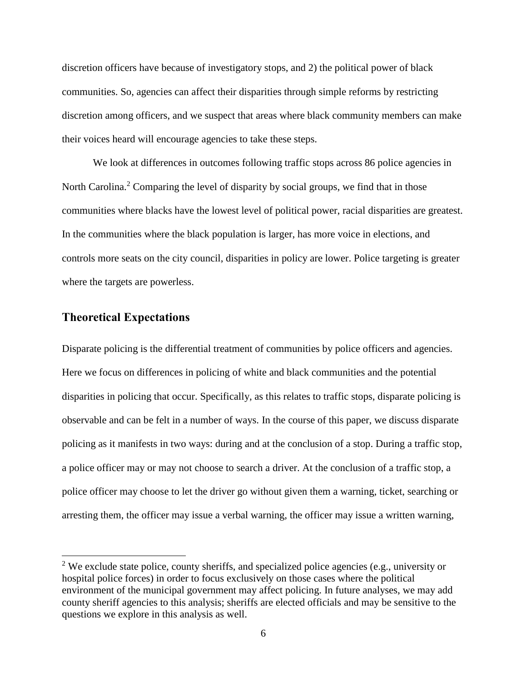discretion officers have because of investigatory stops, and 2) the political power of black communities. So, agencies can affect their disparities through simple reforms by restricting discretion among officers, and we suspect that areas where black community members can make their voices heard will encourage agencies to take these steps.

We look at differences in outcomes following traffic stops across 86 police agencies in North Carolina.<sup>2</sup> Comparing the level of disparity by social groups, we find that in those communities where blacks have the lowest level of political power, racial disparities are greatest. In the communities where the black population is larger, has more voice in elections, and controls more seats on the city council, disparities in policy are lower. Police targeting is greater where the targets are powerless.

### **Theoretical Expectations**

 $\overline{a}$ 

Disparate policing is the differential treatment of communities by police officers and agencies. Here we focus on differences in policing of white and black communities and the potential disparities in policing that occur. Specifically, as this relates to traffic stops, disparate policing is observable and can be felt in a number of ways. In the course of this paper, we discuss disparate policing as it manifests in two ways: during and at the conclusion of a stop. During a traffic stop, a police officer may or may not choose to search a driver. At the conclusion of a traffic stop, a police officer may choose to let the driver go without given them a warning, ticket, searching or arresting them, the officer may issue a verbal warning, the officer may issue a written warning,

<sup>&</sup>lt;sup>2</sup> We exclude state police, county sheriffs, and specialized police agencies (e.g., university or hospital police forces) in order to focus exclusively on those cases where the political environment of the municipal government may affect policing. In future analyses, we may add county sheriff agencies to this analysis; sheriffs are elected officials and may be sensitive to the questions we explore in this analysis as well.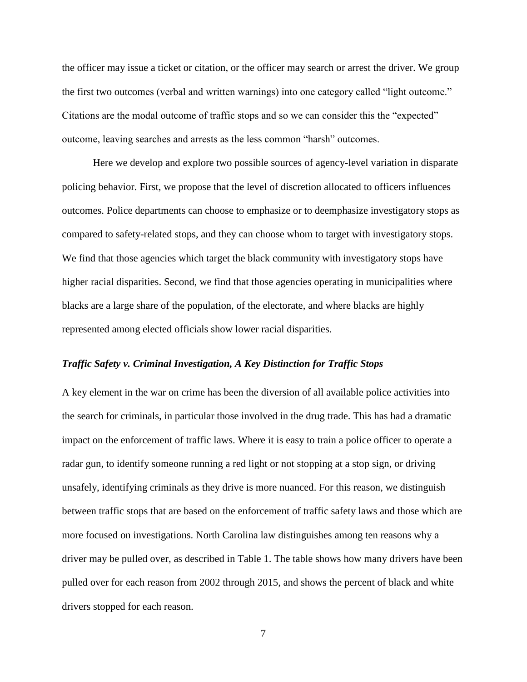the officer may issue a ticket or citation, or the officer may search or arrest the driver. We group the first two outcomes (verbal and written warnings) into one category called "light outcome." Citations are the modal outcome of traffic stops and so we can consider this the "expected" outcome, leaving searches and arrests as the less common "harsh" outcomes.

Here we develop and explore two possible sources of agency-level variation in disparate policing behavior. First, we propose that the level of discretion allocated to officers influences outcomes. Police departments can choose to emphasize or to deemphasize investigatory stops as compared to safety-related stops, and they can choose whom to target with investigatory stops. We find that those agencies which target the black community with investigatory stops have higher racial disparities. Second, we find that those agencies operating in municipalities where blacks are a large share of the population, of the electorate, and where blacks are highly represented among elected officials show lower racial disparities.

#### *Traffic Safety v. Criminal Investigation, A Key Distinction for Traffic Stops*

A key element in the war on crime has been the diversion of all available police activities into the search for criminals, in particular those involved in the drug trade. This has had a dramatic impact on the enforcement of traffic laws. Where it is easy to train a police officer to operate a radar gun, to identify someone running a red light or not stopping at a stop sign, or driving unsafely, identifying criminals as they drive is more nuanced. For this reason, we distinguish between traffic stops that are based on the enforcement of traffic safety laws and those which are more focused on investigations. North Carolina law distinguishes among ten reasons why a driver may be pulled over, as described in Table 1. The table shows how many drivers have been pulled over for each reason from 2002 through 2015, and shows the percent of black and white drivers stopped for each reason.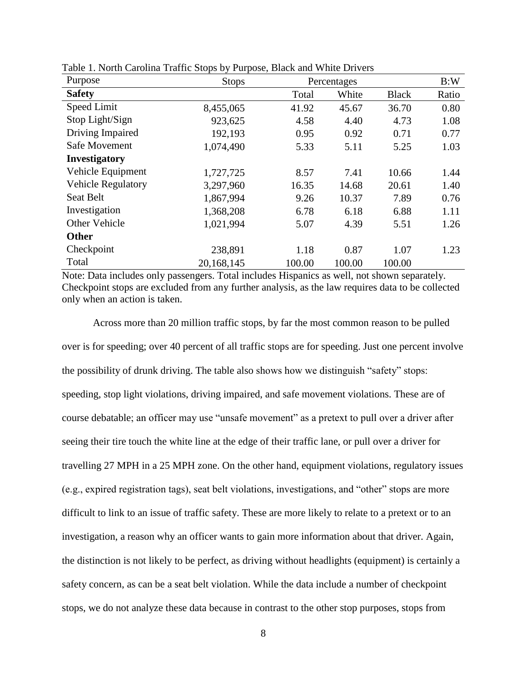| Purpose                   | <b>Stops</b> | Percentages |        |              | B:W   |
|---------------------------|--------------|-------------|--------|--------------|-------|
| <b>Safety</b>             |              | Total       | White  | <b>Black</b> | Ratio |
| Speed Limit               | 8,455,065    | 41.92       | 45.67  | 36.70        | 0.80  |
| Stop Light/Sign           | 923,625      | 4.58        | 4.40   | 4.73         | 1.08  |
| Driving Impaired          | 192,193      | 0.95        | 0.92   | 0.71         | 0.77  |
| Safe Movement             | 1,074,490    | 5.33        | 5.11   | 5.25         | 1.03  |
| <b>Investigatory</b>      |              |             |        |              |       |
| Vehicle Equipment         | 1,727,725    | 8.57        | 7.41   | 10.66        | 1.44  |
| <b>Vehicle Regulatory</b> | 3,297,960    | 16.35       | 14.68  | 20.61        | 1.40  |
| <b>Seat Belt</b>          | 1,867,994    | 9.26        | 10.37  | 7.89         | 0.76  |
| Investigation             | 1,368,208    | 6.78        | 6.18   | 6.88         | 1.11  |
| Other Vehicle             | 1,021,994    | 5.07        | 4.39   | 5.51         | 1.26  |
| <b>Other</b>              |              |             |        |              |       |
| Checkpoint                | 238,891      | 1.18        | 0.87   | 1.07         | 1.23  |
| Total                     | 20,168,145   | 100.00      | 100.00 | 100.00       |       |

Table 1. North Carolina Traffic Stops by Purpose, Black and White Drivers

Note: Data includes only passengers. Total includes Hispanics as well, not shown separately. Checkpoint stops are excluded from any further analysis, as the law requires data to be collected only when an action is taken.

Across more than 20 million traffic stops, by far the most common reason to be pulled over is for speeding; over 40 percent of all traffic stops are for speeding. Just one percent involve the possibility of drunk driving. The table also shows how we distinguish "safety" stops: speeding, stop light violations, driving impaired, and safe movement violations. These are of course debatable; an officer may use "unsafe movement" as a pretext to pull over a driver after seeing their tire touch the white line at the edge of their traffic lane, or pull over a driver for travelling 27 MPH in a 25 MPH zone. On the other hand, equipment violations, regulatory issues (e.g., expired registration tags), seat belt violations, investigations, and "other" stops are more difficult to link to an issue of traffic safety. These are more likely to relate to a pretext or to an investigation, a reason why an officer wants to gain more information about that driver. Again, the distinction is not likely to be perfect, as driving without headlights (equipment) is certainly a safety concern, as can be a seat belt violation. While the data include a number of checkpoint stops, we do not analyze these data because in contrast to the other stop purposes, stops from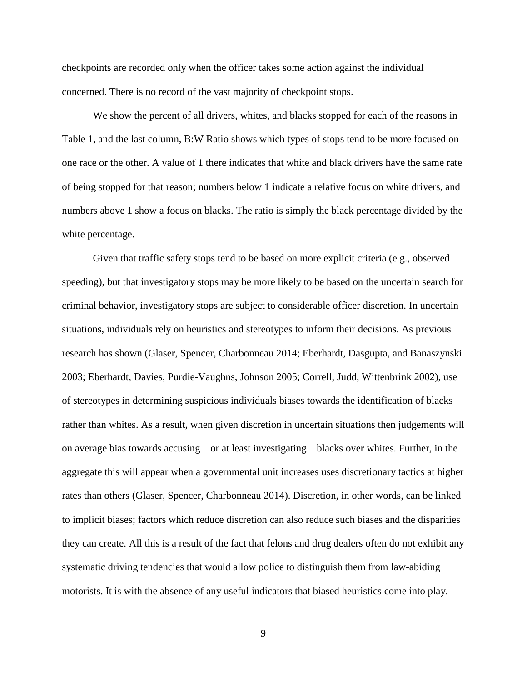checkpoints are recorded only when the officer takes some action against the individual concerned. There is no record of the vast majority of checkpoint stops.

We show the percent of all drivers, whites, and blacks stopped for each of the reasons in Table 1, and the last column, B:W Ratio shows which types of stops tend to be more focused on one race or the other. A value of 1 there indicates that white and black drivers have the same rate of being stopped for that reason; numbers below 1 indicate a relative focus on white drivers, and numbers above 1 show a focus on blacks. The ratio is simply the black percentage divided by the white percentage.

Given that traffic safety stops tend to be based on more explicit criteria (e.g., observed speeding), but that investigatory stops may be more likely to be based on the uncertain search for criminal behavior, investigatory stops are subject to considerable officer discretion. In uncertain situations, individuals rely on heuristics and stereotypes to inform their decisions. As previous research has shown (Glaser, Spencer, Charbonneau 2014; Eberhardt, Dasgupta, and Banaszynski 2003; Eberhardt, Davies, Purdie-Vaughns, Johnson 2005; Correll, Judd, Wittenbrink 2002), use of stereotypes in determining suspicious individuals biases towards the identification of blacks rather than whites. As a result, when given discretion in uncertain situations then judgements will on average bias towards accusing – or at least investigating – blacks over whites. Further, in the aggregate this will appear when a governmental unit increases uses discretionary tactics at higher rates than others (Glaser, Spencer, Charbonneau 2014). Discretion, in other words, can be linked to implicit biases; factors which reduce discretion can also reduce such biases and the disparities they can create. All this is a result of the fact that felons and drug dealers often do not exhibit any systematic driving tendencies that would allow police to distinguish them from law-abiding motorists. It is with the absence of any useful indicators that biased heuristics come into play.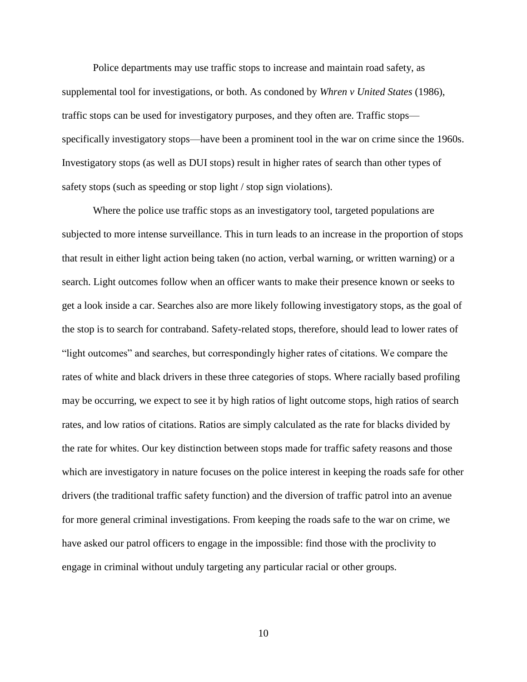Police departments may use traffic stops to increase and maintain road safety, as supplemental tool for investigations, or both. As condoned by *Whren v United States* (1986), traffic stops can be used for investigatory purposes, and they often are. Traffic stops specifically investigatory stops—have been a prominent tool in the war on crime since the 1960s. Investigatory stops (as well as DUI stops) result in higher rates of search than other types of safety stops (such as speeding or stop light / stop sign violations).

Where the police use traffic stops as an investigatory tool, targeted populations are subjected to more intense surveillance. This in turn leads to an increase in the proportion of stops that result in either light action being taken (no action, verbal warning, or written warning) or a search. Light outcomes follow when an officer wants to make their presence known or seeks to get a look inside a car. Searches also are more likely following investigatory stops, as the goal of the stop is to search for contraband. Safety-related stops, therefore, should lead to lower rates of "light outcomes" and searches, but correspondingly higher rates of citations. We compare the rates of white and black drivers in these three categories of stops. Where racially based profiling may be occurring, we expect to see it by high ratios of light outcome stops, high ratios of search rates, and low ratios of citations. Ratios are simply calculated as the rate for blacks divided by the rate for whites. Our key distinction between stops made for traffic safety reasons and those which are investigatory in nature focuses on the police interest in keeping the roads safe for other drivers (the traditional traffic safety function) and the diversion of traffic patrol into an avenue for more general criminal investigations. From keeping the roads safe to the war on crime, we have asked our patrol officers to engage in the impossible: find those with the proclivity to engage in criminal without unduly targeting any particular racial or other groups.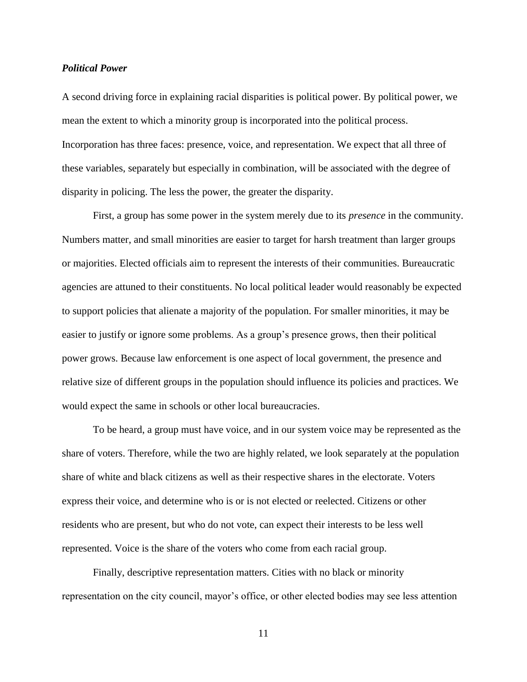#### *Political Power*

A second driving force in explaining racial disparities is political power. By political power, we mean the extent to which a minority group is incorporated into the political process. Incorporation has three faces: presence, voice, and representation. We expect that all three of these variables, separately but especially in combination, will be associated with the degree of disparity in policing. The less the power, the greater the disparity.

First, a group has some power in the system merely due to its *presence* in the community. Numbers matter, and small minorities are easier to target for harsh treatment than larger groups or majorities. Elected officials aim to represent the interests of their communities. Bureaucratic agencies are attuned to their constituents. No local political leader would reasonably be expected to support policies that alienate a majority of the population. For smaller minorities, it may be easier to justify or ignore some problems. As a group's presence grows, then their political power grows. Because law enforcement is one aspect of local government, the presence and relative size of different groups in the population should influence its policies and practices. We would expect the same in schools or other local bureaucracies.

To be heard, a group must have voice, and in our system voice may be represented as the share of voters. Therefore, while the two are highly related, we look separately at the population share of white and black citizens as well as their respective shares in the electorate. Voters express their voice, and determine who is or is not elected or reelected. Citizens or other residents who are present, but who do not vote, can expect their interests to be less well represented. Voice is the share of the voters who come from each racial group.

Finally, descriptive representation matters. Cities with no black or minority representation on the city council, mayor's office, or other elected bodies may see less attention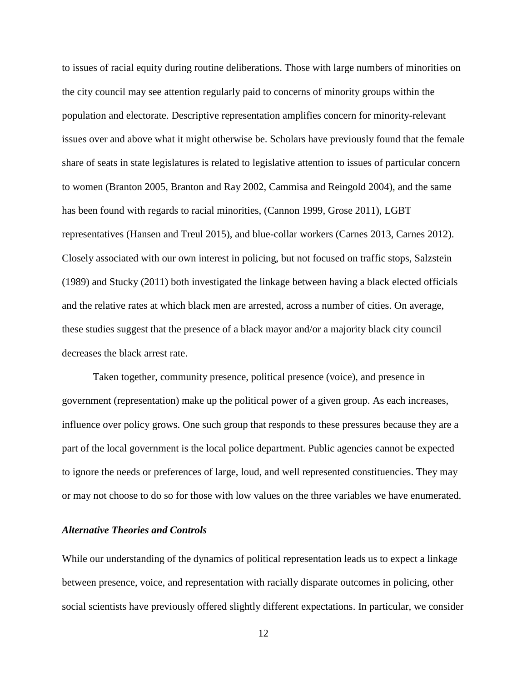to issues of racial equity during routine deliberations. Those with large numbers of minorities on the city council may see attention regularly paid to concerns of minority groups within the population and electorate. Descriptive representation amplifies concern for minority-relevant issues over and above what it might otherwise be. Scholars have previously found that the female share of seats in state legislatures is related to legislative attention to issues of particular concern to women (Branton 2005, Branton and Ray 2002, Cammisa and Reingold 2004), and the same has been found with regards to racial minorities, (Cannon 1999, Grose 2011), LGBT representatives (Hansen and Treul 2015), and blue-collar workers (Carnes 2013, Carnes 2012). Closely associated with our own interest in policing, but not focused on traffic stops, Salzstein (1989) and Stucky (2011) both investigated the linkage between having a black elected officials and the relative rates at which black men are arrested, across a number of cities. On average, these studies suggest that the presence of a black mayor and/or a majority black city council decreases the black arrest rate.

Taken together, community presence, political presence (voice), and presence in government (representation) make up the political power of a given group. As each increases, influence over policy grows. One such group that responds to these pressures because they are a part of the local government is the local police department. Public agencies cannot be expected to ignore the needs or preferences of large, loud, and well represented constituencies. They may or may not choose to do so for those with low values on the three variables we have enumerated.

#### *Alternative Theories and Controls*

While our understanding of the dynamics of political representation leads us to expect a linkage between presence, voice, and representation with racially disparate outcomes in policing, other social scientists have previously offered slightly different expectations. In particular, we consider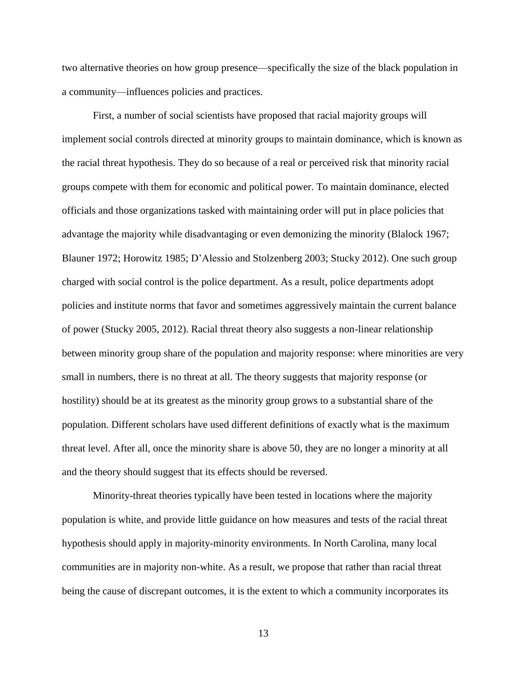two alternative theories on how group presence—specifically the size of the black population in a community—influences policies and practices.

First, a number of social scientists have proposed that racial majority groups will implement social controls directed at minority groups to maintain dominance, which is known as the racial threat hypothesis. They do so because of a real or perceived risk that minority racial groups compete with them for economic and political power. To maintain dominance, elected officials and those organizations tasked with maintaining order will put in place policies that advantage the majority while disadvantaging or even demonizing the minority (Blalock 1967; Blauner 1972; Horowitz 1985; D'Alessio and Stolzenberg 2003; Stucky 2012). One such group charged with social control is the police department. As a result, police departments adopt policies and institute norms that favor and sometimes aggressively maintain the current balance of power (Stucky 2005, 2012). Racial threat theory also suggests a non-linear relationship between minority group share of the population and majority response: where minorities are very small in numbers, there is no threat at all. The theory suggests that majority response (or hostility) should be at its greatest as the minority group grows to a substantial share of the population. Different scholars have used different definitions of exactly what is the maximum threat level. After all, once the minority share is above 50, they are no longer a minority at all and the theory should suggest that its effects should be reversed.

Minority-threat theories typically have been tested in locations where the majority population is white, and provide little guidance on how measures and tests of the racial threat hypothesis should apply in majority-minority environments. In North Carolina, many local communities are in majority non-white. As a result, we propose that rather than racial threat being the cause of discrepant outcomes, it is the extent to which a community incorporates its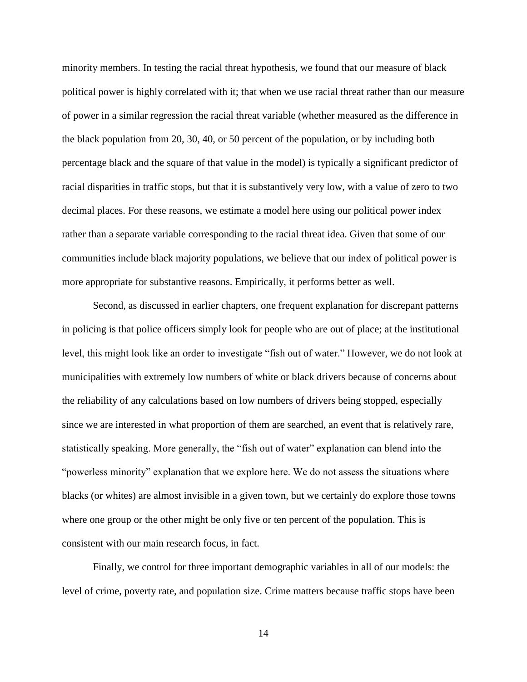minority members. In testing the racial threat hypothesis, we found that our measure of black political power is highly correlated with it; that when we use racial threat rather than our measure of power in a similar regression the racial threat variable (whether measured as the difference in the black population from 20, 30, 40, or 50 percent of the population, or by including both percentage black and the square of that value in the model) is typically a significant predictor of racial disparities in traffic stops, but that it is substantively very low, with a value of zero to two decimal places. For these reasons, we estimate a model here using our political power index rather than a separate variable corresponding to the racial threat idea. Given that some of our communities include black majority populations, we believe that our index of political power is more appropriate for substantive reasons. Empirically, it performs better as well.

Second, as discussed in earlier chapters, one frequent explanation for discrepant patterns in policing is that police officers simply look for people who are out of place; at the institutional level, this might look like an order to investigate "fish out of water." However, we do not look at municipalities with extremely low numbers of white or black drivers because of concerns about the reliability of any calculations based on low numbers of drivers being stopped, especially since we are interested in what proportion of them are searched, an event that is relatively rare, statistically speaking. More generally, the "fish out of water" explanation can blend into the "powerless minority" explanation that we explore here. We do not assess the situations where blacks (or whites) are almost invisible in a given town, but we certainly do explore those towns where one group or the other might be only five or ten percent of the population. This is consistent with our main research focus, in fact.

Finally, we control for three important demographic variables in all of our models: the level of crime, poverty rate, and population size. Crime matters because traffic stops have been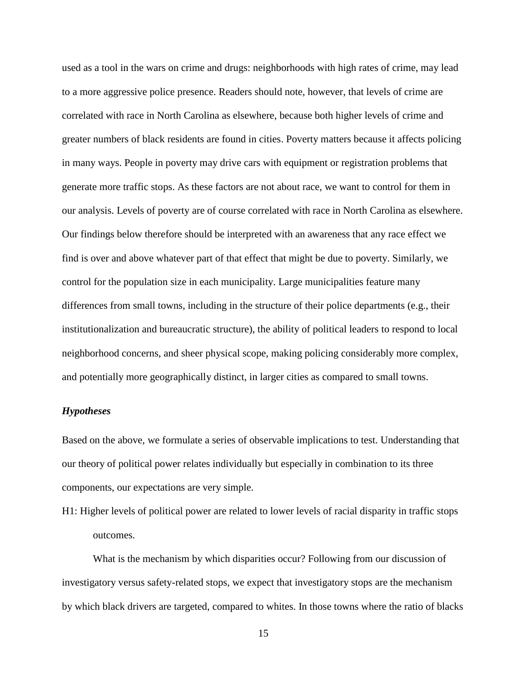used as a tool in the wars on crime and drugs: neighborhoods with high rates of crime, may lead to a more aggressive police presence. Readers should note, however, that levels of crime are correlated with race in North Carolina as elsewhere, because both higher levels of crime and greater numbers of black residents are found in cities. Poverty matters because it affects policing in many ways. People in poverty may drive cars with equipment or registration problems that generate more traffic stops. As these factors are not about race, we want to control for them in our analysis. Levels of poverty are of course correlated with race in North Carolina as elsewhere. Our findings below therefore should be interpreted with an awareness that any race effect we find is over and above whatever part of that effect that might be due to poverty. Similarly, we control for the population size in each municipality. Large municipalities feature many differences from small towns, including in the structure of their police departments (e.g., their institutionalization and bureaucratic structure), the ability of political leaders to respond to local neighborhood concerns, and sheer physical scope, making policing considerably more complex, and potentially more geographically distinct, in larger cities as compared to small towns.

#### *Hypotheses*

Based on the above, we formulate a series of observable implications to test. Understanding that our theory of political power relates individually but especially in combination to its three components, our expectations are very simple.

H1: Higher levels of political power are related to lower levels of racial disparity in traffic stops outcomes.

What is the mechanism by which disparities occur? Following from our discussion of investigatory versus safety-related stops, we expect that investigatory stops are the mechanism by which black drivers are targeted, compared to whites. In those towns where the ratio of blacks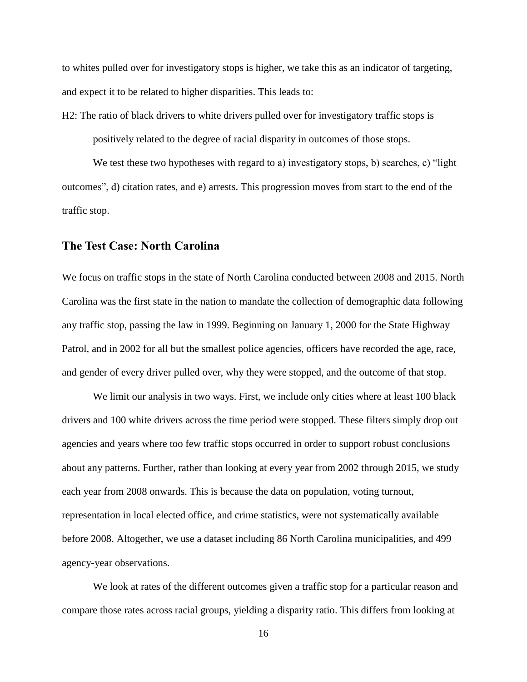to whites pulled over for investigatory stops is higher, we take this as an indicator of targeting, and expect it to be related to higher disparities. This leads to:

H2: The ratio of black drivers to white drivers pulled over for investigatory traffic stops is positively related to the degree of racial disparity in outcomes of those stops.

We test these two hypotheses with regard to a) investigatory stops, b) searches, c) "light outcomes", d) citation rates, and e) arrests. This progression moves from start to the end of the traffic stop.

### **The Test Case: North Carolina**

We focus on traffic stops in the state of North Carolina conducted between 2008 and 2015. North Carolina was the first state in the nation to mandate the collection of demographic data following any traffic stop, passing the law in 1999. Beginning on January 1, 2000 for the State Highway Patrol, and in 2002 for all but the smallest police agencies, officers have recorded the age, race, and gender of every driver pulled over, why they were stopped, and the outcome of that stop.

We limit our analysis in two ways. First, we include only cities where at least 100 black drivers and 100 white drivers across the time period were stopped. These filters simply drop out agencies and years where too few traffic stops occurred in order to support robust conclusions about any patterns. Further, rather than looking at every year from 2002 through 2015, we study each year from 2008 onwards. This is because the data on population, voting turnout, representation in local elected office, and crime statistics, were not systematically available before 2008. Altogether, we use a dataset including 86 North Carolina municipalities, and 499 agency-year observations.

We look at rates of the different outcomes given a traffic stop for a particular reason and compare those rates across racial groups, yielding a disparity ratio. This differs from looking at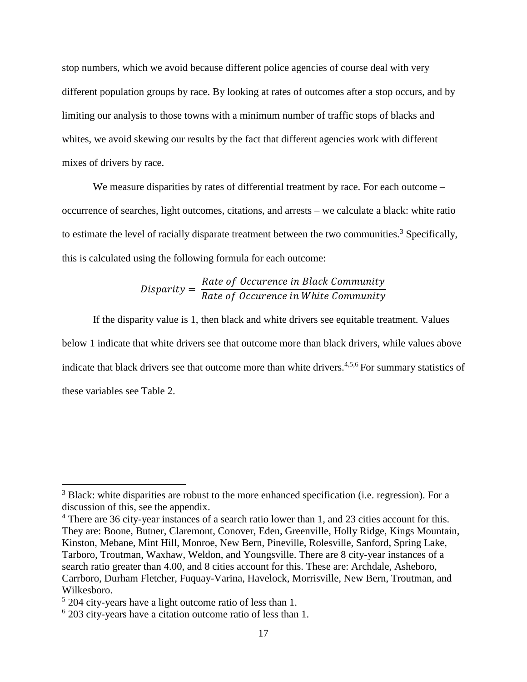stop numbers, which we avoid because different police agencies of course deal with very different population groups by race. By looking at rates of outcomes after a stop occurs, and by limiting our analysis to those towns with a minimum number of traffic stops of blacks and whites, we avoid skewing our results by the fact that different agencies work with different mixes of drivers by race.

We measure disparities by rates of differential treatment by race. For each outcome – occurrence of searches, light outcomes, citations, and arrests – we calculate a black: white ratio to estimate the level of racially disparate treatment between the two communities.<sup>3</sup> Specifically, this is calculated using the following formula for each outcome:

#### $Disparity =$ Rate of Occurence in Black Community Rate of Occurence in White Community

If the disparity value is 1, then black and white drivers see equitable treatment. Values below 1 indicate that white drivers see that outcome more than black drivers, while values above indicate that black drivers see that outcome more than white drivers.<sup>4,5,6</sup> For summary statistics of these variables see Table 2.

 $\overline{a}$ 

 $3$  Black: white disparities are robust to the more enhanced specification (i.e. regression). For a discussion of this, see the appendix.

<sup>&</sup>lt;sup>4</sup> There are 36 city-year instances of a search ratio lower than 1, and 23 cities account for this. They are: Boone, Butner, Claremont, Conover, Eden, Greenville, Holly Ridge, Kings Mountain, Kinston, Mebane, Mint Hill, Monroe, New Bern, Pineville, Rolesville, Sanford, Spring Lake, Tarboro, Troutman, Waxhaw, Weldon, and Youngsville. There are 8 city-year instances of a search ratio greater than 4.00, and 8 cities account for this. These are: Archdale, Asheboro, Carrboro, Durham Fletcher, Fuquay-Varina, Havelock, Morrisville, New Bern, Troutman, and Wilkesboro.

<sup>&</sup>lt;sup>5</sup> 204 city-years have a light outcome ratio of less than 1.

<sup>6</sup> 203 city-years have a citation outcome ratio of less than 1.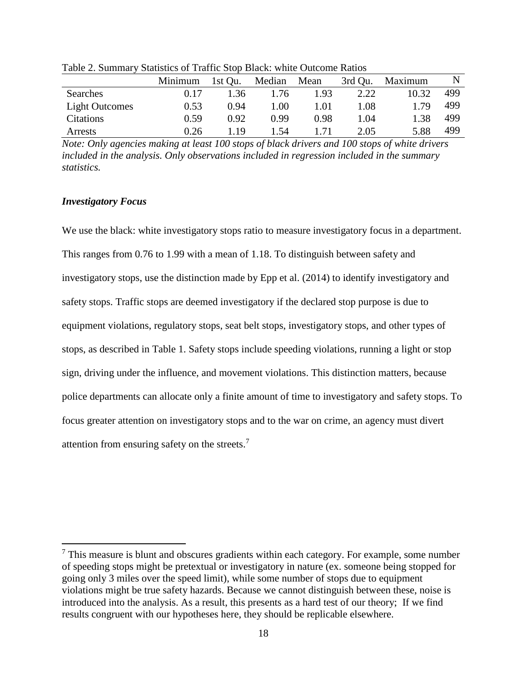|                       | Minimum | 1st Qu. | Median | Mean | 3rd Qu. | Maximum | N   |
|-----------------------|---------|---------|--------|------|---------|---------|-----|
| Searches              | 0.17    | 1.36    | 1.76   | 1.93 | 2.22    | 10.32   | 499 |
| <b>Light Outcomes</b> | 0.53    | 0.94    | 1.00   | 1.01 | 1.08    | -79     | 499 |
| Citations             | 0.59    | 0.92    | 0.99   | 0.98 | 1.04    | 1.38    | 499 |
| Arrests               | 0.26    | -19     | 1.54   |      | 2.05    | 5.88    | 499 |

Table 2. Summary Statistics of Traffic Stop Black: white Outcome Ratios

*Note: Only agencies making at least 100 stops of black drivers and 100 stops of white drivers included in the analysis. Only observations included in regression included in the summary statistics.*

#### *Investigatory Focus*

 $\overline{a}$ 

We use the black: white investigatory stops ratio to measure investigatory focus in a department. This ranges from 0.76 to 1.99 with a mean of 1.18. To distinguish between safety and investigatory stops, use the distinction made by Epp et al. (2014) to identify investigatory and safety stops. Traffic stops are deemed investigatory if the declared stop purpose is due to equipment violations, regulatory stops, seat belt stops, investigatory stops, and other types of stops, as described in Table 1. Safety stops include speeding violations, running a light or stop sign, driving under the influence, and movement violations. This distinction matters, because police departments can allocate only a finite amount of time to investigatory and safety stops. To focus greater attention on investigatory stops and to the war on crime, an agency must divert attention from ensuring safety on the streets.<sup>7</sup>

 $<sup>7</sup>$  This measure is blunt and obscures gradients within each category. For example, some number</sup> of speeding stops might be pretextual or investigatory in nature (ex. someone being stopped for going only 3 miles over the speed limit), while some number of stops due to equipment violations might be true safety hazards. Because we cannot distinguish between these, noise is introduced into the analysis. As a result, this presents as a hard test of our theory; If we find results congruent with our hypotheses here, they should be replicable elsewhere.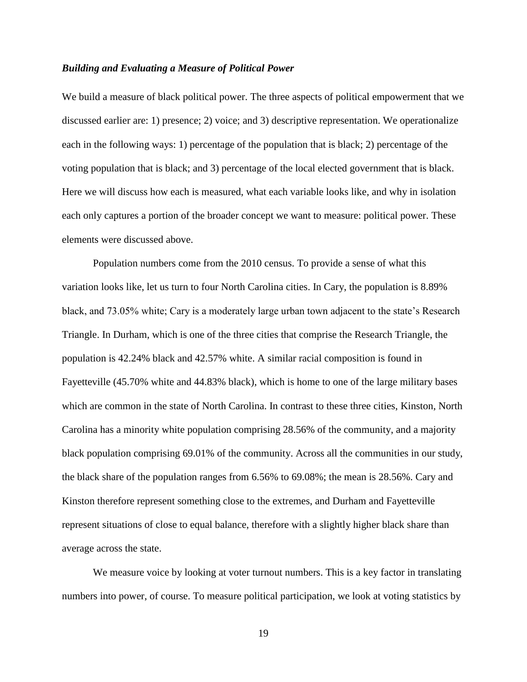#### *Building and Evaluating a Measure of Political Power*

We build a measure of black political power. The three aspects of political empowerment that we discussed earlier are: 1) presence; 2) voice; and 3) descriptive representation. We operationalize each in the following ways: 1) percentage of the population that is black; 2) percentage of the voting population that is black; and 3) percentage of the local elected government that is black. Here we will discuss how each is measured, what each variable looks like, and why in isolation each only captures a portion of the broader concept we want to measure: political power. These elements were discussed above.

Population numbers come from the 2010 census. To provide a sense of what this variation looks like, let us turn to four North Carolina cities. In Cary, the population is 8.89% black, and 73.05% white; Cary is a moderately large urban town adjacent to the state's Research Triangle. In Durham, which is one of the three cities that comprise the Research Triangle, the population is 42.24% black and 42.57% white. A similar racial composition is found in Fayetteville (45.70% white and 44.83% black), which is home to one of the large military bases which are common in the state of North Carolina. In contrast to these three cities, Kinston, North Carolina has a minority white population comprising 28.56% of the community, and a majority black population comprising 69.01% of the community. Across all the communities in our study, the black share of the population ranges from 6.56% to 69.08%; the mean is 28.56%. Cary and Kinston therefore represent something close to the extremes, and Durham and Fayetteville represent situations of close to equal balance, therefore with a slightly higher black share than average across the state.

We measure voice by looking at voter turnout numbers. This is a key factor in translating numbers into power, of course. To measure political participation, we look at voting statistics by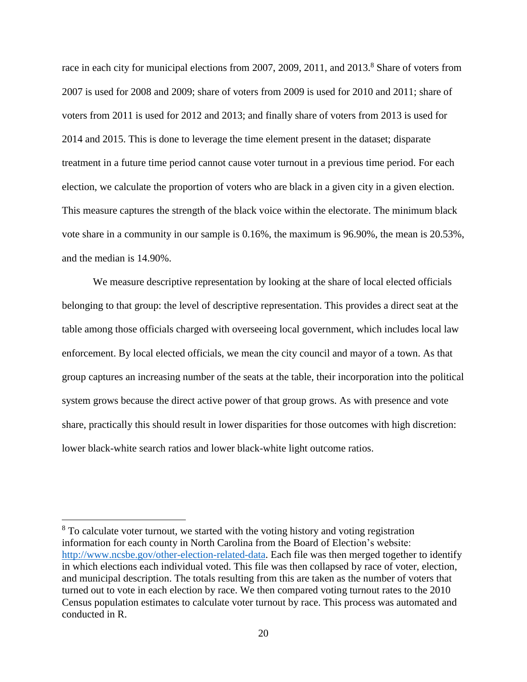race in each city for municipal elections from 2007, 2009, 2011, and 2013.<sup>8</sup> Share of voters from 2007 is used for 2008 and 2009; share of voters from 2009 is used for 2010 and 2011; share of voters from 2011 is used for 2012 and 2013; and finally share of voters from 2013 is used for 2014 and 2015. This is done to leverage the time element present in the dataset; disparate treatment in a future time period cannot cause voter turnout in a previous time period. For each election, we calculate the proportion of voters who are black in a given city in a given election. This measure captures the strength of the black voice within the electorate. The minimum black vote share in a community in our sample is 0.16%, the maximum is 96.90%, the mean is 20.53%, and the median is 14.90%.

We measure descriptive representation by looking at the share of local elected officials belonging to that group: the level of descriptive representation. This provides a direct seat at the table among those officials charged with overseeing local government, which includes local law enforcement. By local elected officials, we mean the city council and mayor of a town. As that group captures an increasing number of the seats at the table, their incorporation into the political system grows because the direct active power of that group grows. As with presence and vote share, practically this should result in lower disparities for those outcomes with high discretion: lower black-white search ratios and lower black-white light outcome ratios.

 $\overline{a}$ 

<sup>&</sup>lt;sup>8</sup> To calculate voter turnout, we started with the voting history and voting registration information for each county in North Carolina from the Board of Election's website: [http://www.ncsbe.gov/other-election-related-data.](http://www.ncsbe.gov/other-election-related-data) Each file was then merged together to identify in which elections each individual voted. This file was then collapsed by race of voter, election, and municipal description. The totals resulting from this are taken as the number of voters that turned out to vote in each election by race. We then compared voting turnout rates to the 2010 Census population estimates to calculate voter turnout by race. This process was automated and conducted in R.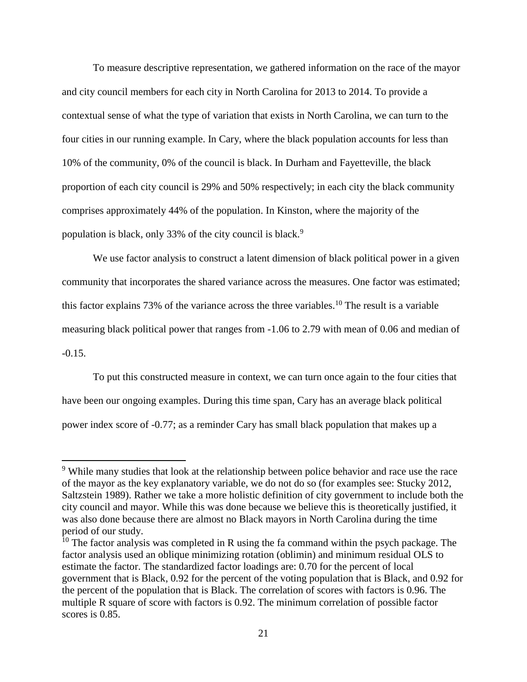To measure descriptive representation, we gathered information on the race of the mayor and city council members for each city in North Carolina for 2013 to 2014. To provide a contextual sense of what the type of variation that exists in North Carolina, we can turn to the four cities in our running example. In Cary, where the black population accounts for less than 10% of the community, 0% of the council is black. In Durham and Fayetteville, the black proportion of each city council is 29% and 50% respectively; in each city the black community comprises approximately 44% of the population. In Kinston, where the majority of the population is black, only 33% of the city council is black.<sup>9</sup>

We use factor analysis to construct a latent dimension of black political power in a given community that incorporates the shared variance across the measures. One factor was estimated; this factor explains 73% of the variance across the three variables.<sup>10</sup> The result is a variable measuring black political power that ranges from -1.06 to 2.79 with mean of 0.06 and median of -0.15.

To put this constructed measure in context, we can turn once again to the four cities that have been our ongoing examples. During this time span, Cary has an average black political power index score of -0.77; as a reminder Cary has small black population that makes up a

 $\overline{a}$ 

<sup>&</sup>lt;sup>9</sup> While many studies that look at the relationship between police behavior and race use the race of the mayor as the key explanatory variable, we do not do so (for examples see: Stucky 2012, Saltzstein 1989). Rather we take a more holistic definition of city government to include both the city council and mayor. While this was done because we believe this is theoretically justified, it was also done because there are almost no Black mayors in North Carolina during the time period of our study.

 $10$  The factor analysis was completed in R using the fa command within the psych package. The factor analysis used an oblique minimizing rotation (oblimin) and minimum residual OLS to estimate the factor. The standardized factor loadings are: 0.70 for the percent of local government that is Black, 0.92 for the percent of the voting population that is Black, and 0.92 for the percent of the population that is Black. The correlation of scores with factors is 0.96. The multiple R square of score with factors is 0.92. The minimum correlation of possible factor scores is 0.85.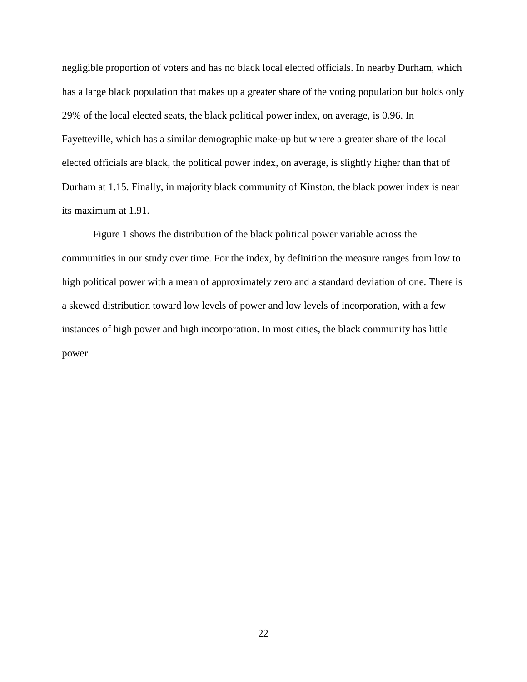negligible proportion of voters and has no black local elected officials. In nearby Durham, which has a large black population that makes up a greater share of the voting population but holds only 29% of the local elected seats, the black political power index, on average, is 0.96. In Fayetteville, which has a similar demographic make-up but where a greater share of the local elected officials are black, the political power index, on average, is slightly higher than that of Durham at 1.15. Finally, in majority black community of Kinston, the black power index is near its maximum at 1.91.

Figure 1 shows the distribution of the black political power variable across the communities in our study over time. For the index, by definition the measure ranges from low to high political power with a mean of approximately zero and a standard deviation of one. There is a skewed distribution toward low levels of power and low levels of incorporation, with a few instances of high power and high incorporation. In most cities, the black community has little power.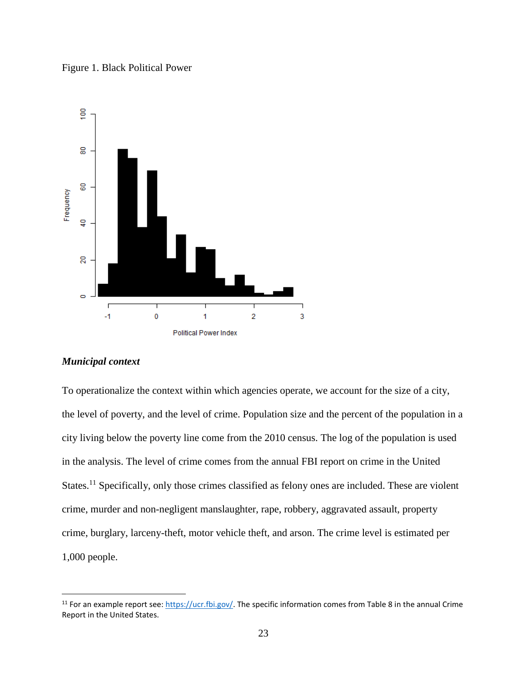Figure 1. Black Political Power



#### *Municipal context*

 $\overline{a}$ 

To operationalize the context within which agencies operate, we account for the size of a city, the level of poverty, and the level of crime. Population size and the percent of the population in a city living below the poverty line come from the 2010 census. The log of the population is used in the analysis. The level of crime comes from the annual FBI report on crime in the United States.<sup>11</sup> Specifically, only those crimes classified as felony ones are included. These are violent crime, murder and non-negligent manslaughter, rape, robbery, aggravated assault, property crime, burglary, larceny-theft, motor vehicle theft, and arson. The crime level is estimated per 1,000 people.

<sup>&</sup>lt;sup>11</sup> For an example report see[: https://ucr.fbi.gov/.](https://ucr.fbi.gov/) The specific information comes from Table 8 in the annual Crime Report in the United States.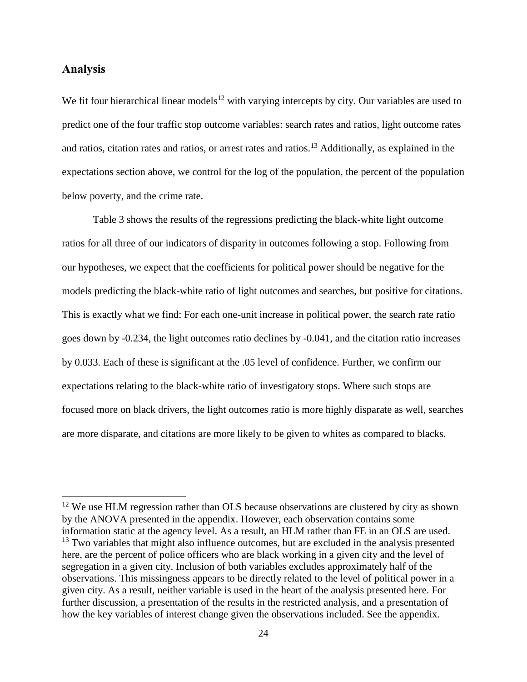### **Analysis**

 $\overline{a}$ 

We fit four hierarchical linear models<sup>12</sup> with varying intercepts by city. Our variables are used to predict one of the four traffic stop outcome variables: search rates and ratios, light outcome rates and ratios, citation rates and ratios, or arrest rates and ratios.<sup>13</sup> Additionally, as explained in the expectations section above, we control for the log of the population, the percent of the population below poverty, and the crime rate.

Table 3 shows the results of the regressions predicting the black-white light outcome ratios for all three of our indicators of disparity in outcomes following a stop. Following from our hypotheses, we expect that the coefficients for political power should be negative for the models predicting the black-white ratio of light outcomes and searches, but positive for citations. This is exactly what we find: For each one-unit increase in political power, the search rate ratio goes down by -0.234, the light outcomes ratio declines by -0.041, and the citation ratio increases by 0.033. Each of these is significant at the .05 level of confidence. Further, we confirm our expectations relating to the black-white ratio of investigatory stops. Where such stops are focused more on black drivers, the light outcomes ratio is more highly disparate as well, searches are more disparate, and citations are more likely to be given to whites as compared to blacks.

 $12$  We use HLM regression rather than OLS because observations are clustered by city as shown by the ANOVA presented in the appendix. However, each observation contains some information static at the agency level. As a result, an HLM rather than FE in an OLS are used.  $13$  Two variables that might also influence outcomes, but are excluded in the analysis presented here, are the percent of police officers who are black working in a given city and the level of segregation in a given city. Inclusion of both variables excludes approximately half of the observations. This missingness appears to be directly related to the level of political power in a given city. As a result, neither variable is used in the heart of the analysis presented here. For further discussion, a presentation of the results in the restricted analysis, and a presentation of how the key variables of interest change given the observations included. See the appendix.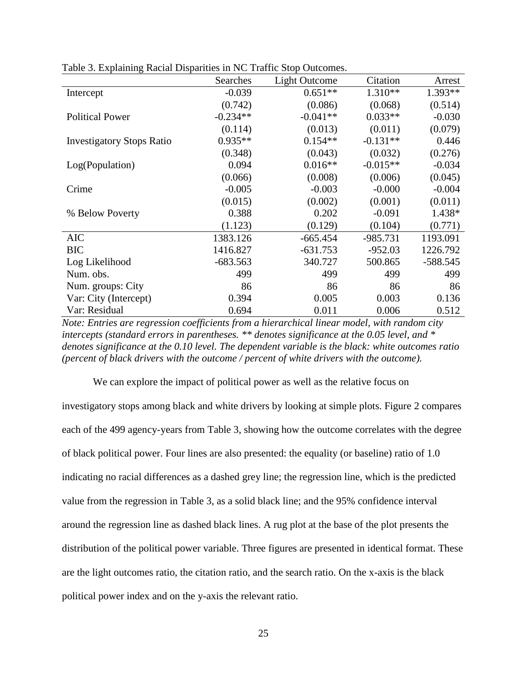|                                  | Searches   | Light Outcome | Citation   | Arrest    |
|----------------------------------|------------|---------------|------------|-----------|
| Intercept                        | $-0.039$   | $0.651**$     | $1.310**$  | $1.393**$ |
|                                  | (0.742)    | (0.086)       | (0.068)    | (0.514)   |
| <b>Political Power</b>           | $-0.234**$ | $-0.041**$    | $0.033**$  | $-0.030$  |
|                                  | (0.114)    | (0.013)       | (0.011)    | (0.079)   |
| <b>Investigatory Stops Ratio</b> | $0.935**$  | $0.154**$     | $-0.131**$ | 0.446     |
|                                  | (0.348)    | (0.043)       | (0.032)    | (0.276)   |
| Log(Population)                  | 0.094      | $0.016**$     | $-0.015**$ | $-0.034$  |
|                                  | (0.066)    | (0.008)       | (0.006)    | (0.045)   |
| Crime                            | $-0.005$   | $-0.003$      | $-0.000$   | $-0.004$  |
|                                  | (0.015)    | (0.002)       | (0.001)    | (0.011)   |
| % Below Poverty                  | 0.388      | 0.202         | $-0.091$   | 1.438*    |
|                                  | (1.123)    | (0.129)       | (0.104)    | (0.771)   |
| <b>AIC</b>                       | 1383.126   | $-665.454$    | $-985.731$ | 1193.091  |
| <b>BIC</b>                       | 1416.827   | $-631.753$    | $-952.03$  | 1226.792  |
| Log Likelihood                   | $-683.563$ | 340.727       | 500.865    | -588.545  |
| Num. obs.                        | 499        | 499           | 499        | 499       |
| Num. groups: City                | 86         | 86            | 86         | 86        |
| Var: City (Intercept)            | 0.394      | 0.005         | 0.003      | 0.136     |
| Var: Residual                    | 0.694      | 0.011         | 0.006      | 0.512     |

Table 3. Explaining Racial Disparities in NC Traffic Stop Outcomes.

*Note: Entries are regression coefficients from a hierarchical linear model, with random city intercepts (standard errors in parentheses. \*\* denotes significance at the 0.05 level, and \* denotes significance at the 0.10 level. The dependent variable is the black: white outcomes ratio (percent of black drivers with the outcome / percent of white drivers with the outcome).*

We can explore the impact of political power as well as the relative focus on investigatory stops among black and white drivers by looking at simple plots. Figure 2 compares each of the 499 agency-years from Table 3, showing how the outcome correlates with the degree of black political power. Four lines are also presented: the equality (or baseline) ratio of 1.0 indicating no racial differences as a dashed grey line; the regression line, which is the predicted value from the regression in Table 3, as a solid black line; and the 95% confidence interval around the regression line as dashed black lines. A rug plot at the base of the plot presents the distribution of the political power variable. Three figures are presented in identical format. These are the light outcomes ratio, the citation ratio, and the search ratio. On the x-axis is the black political power index and on the y-axis the relevant ratio.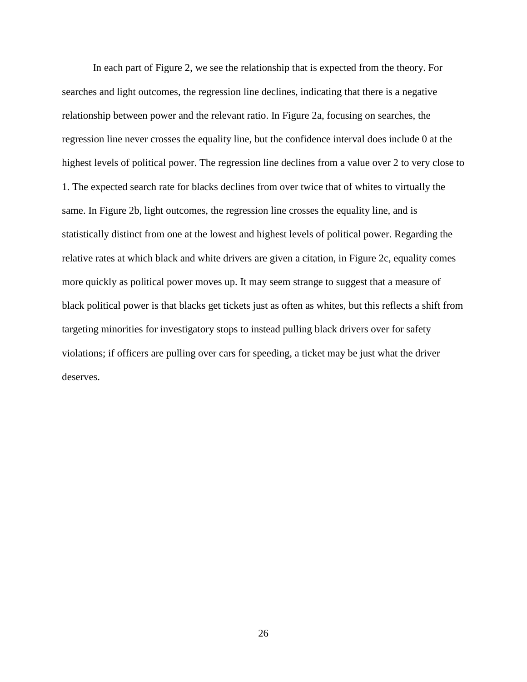In each part of Figure 2, we see the relationship that is expected from the theory. For searches and light outcomes, the regression line declines, indicating that there is a negative relationship between power and the relevant ratio. In Figure 2a, focusing on searches, the regression line never crosses the equality line, but the confidence interval does include 0 at the highest levels of political power. The regression line declines from a value over 2 to very close to 1. The expected search rate for blacks declines from over twice that of whites to virtually the same. In Figure 2b, light outcomes, the regression line crosses the equality line, and is statistically distinct from one at the lowest and highest levels of political power. Regarding the relative rates at which black and white drivers are given a citation, in Figure 2c, equality comes more quickly as political power moves up. It may seem strange to suggest that a measure of black political power is that blacks get tickets just as often as whites, but this reflects a shift from targeting minorities for investigatory stops to instead pulling black drivers over for safety violations; if officers are pulling over cars for speeding, a ticket may be just what the driver deserves.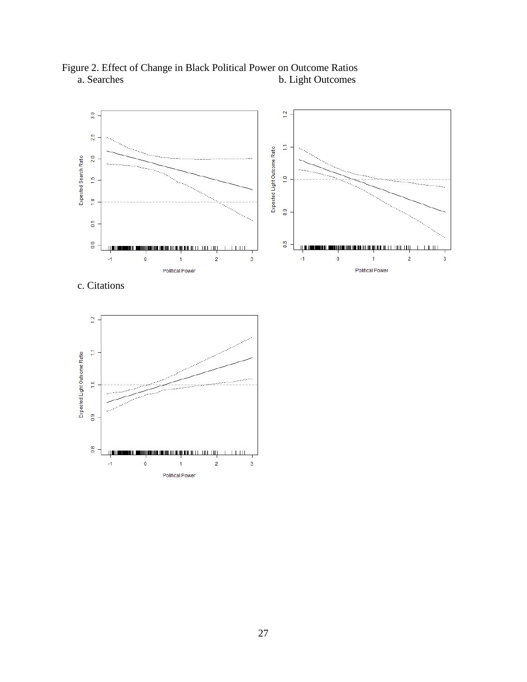

Figure 2. Effect of Change in Black Political Power on Outcome Ratios b. Light Outcomes

c. Citations

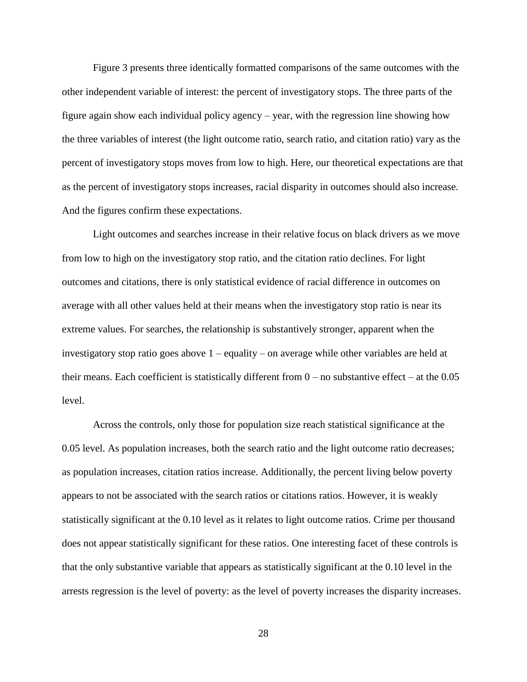Figure 3 presents three identically formatted comparisons of the same outcomes with the other independent variable of interest: the percent of investigatory stops. The three parts of the figure again show each individual policy agency – year, with the regression line showing how the three variables of interest (the light outcome ratio, search ratio, and citation ratio) vary as the percent of investigatory stops moves from low to high. Here, our theoretical expectations are that as the percent of investigatory stops increases, racial disparity in outcomes should also increase. And the figures confirm these expectations.

Light outcomes and searches increase in their relative focus on black drivers as we move from low to high on the investigatory stop ratio, and the citation ratio declines. For light outcomes and citations, there is only statistical evidence of racial difference in outcomes on average with all other values held at their means when the investigatory stop ratio is near its extreme values. For searches, the relationship is substantively stronger, apparent when the investigatory stop ratio goes above 1 – equality – on average while other variables are held at their means. Each coefficient is statistically different from  $0 -$  no substantive effect – at the 0.05 level.

Across the controls, only those for population size reach statistical significance at the 0.05 level. As population increases, both the search ratio and the light outcome ratio decreases; as population increases, citation ratios increase. Additionally, the percent living below poverty appears to not be associated with the search ratios or citations ratios. However, it is weakly statistically significant at the 0.10 level as it relates to light outcome ratios. Crime per thousand does not appear statistically significant for these ratios. One interesting facet of these controls is that the only substantive variable that appears as statistically significant at the 0.10 level in the arrests regression is the level of poverty: as the level of poverty increases the disparity increases.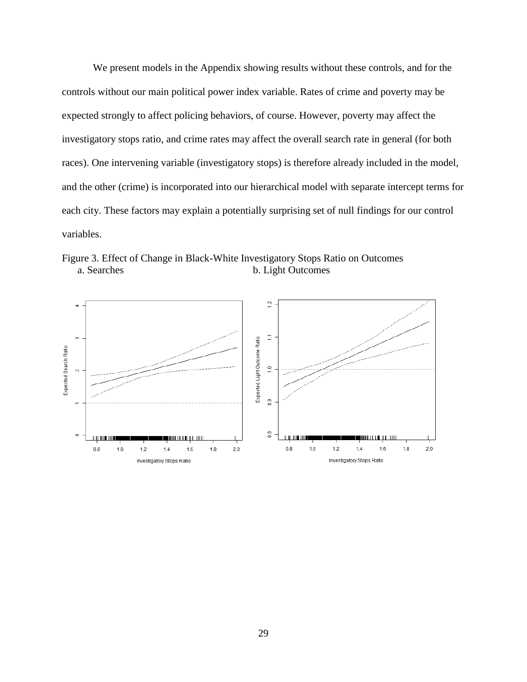We present models in the Appendix showing results without these controls, and for the controls without our main political power index variable. Rates of crime and poverty may be expected strongly to affect policing behaviors, of course. However, poverty may affect the investigatory stops ratio, and crime rates may affect the overall search rate in general (for both races). One intervening variable (investigatory stops) is therefore already included in the model, and the other (crime) is incorporated into our hierarchical model with separate intercept terms for each city. These factors may explain a potentially surprising set of null findings for our control variables.

Figure 3. Effect of Change in Black-White Investigatory Stops Ratio on Outcomes a. Searches b. Light Outcomes

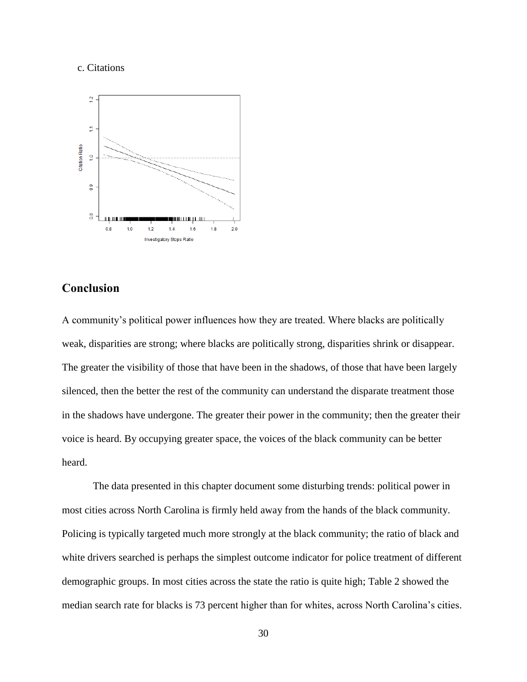#### c. Citations



### **Conclusion**

A community's political power influences how they are treated. Where blacks are politically weak, disparities are strong; where blacks are politically strong, disparities shrink or disappear. The greater the visibility of those that have been in the shadows, of those that have been largely silenced, then the better the rest of the community can understand the disparate treatment those in the shadows have undergone. The greater their power in the community; then the greater their voice is heard. By occupying greater space, the voices of the black community can be better heard.

The data presented in this chapter document some disturbing trends: political power in most cities across North Carolina is firmly held away from the hands of the black community. Policing is typically targeted much more strongly at the black community; the ratio of black and white drivers searched is perhaps the simplest outcome indicator for police treatment of different demographic groups. In most cities across the state the ratio is quite high; Table 2 showed the median search rate for blacks is 73 percent higher than for whites, across North Carolina's cities.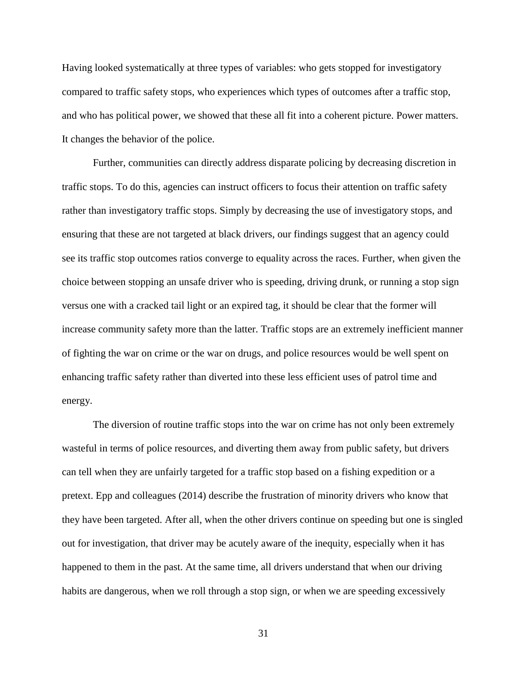Having looked systematically at three types of variables: who gets stopped for investigatory compared to traffic safety stops, who experiences which types of outcomes after a traffic stop, and who has political power, we showed that these all fit into a coherent picture. Power matters. It changes the behavior of the police.

Further, communities can directly address disparate policing by decreasing discretion in traffic stops. To do this, agencies can instruct officers to focus their attention on traffic safety rather than investigatory traffic stops. Simply by decreasing the use of investigatory stops, and ensuring that these are not targeted at black drivers, our findings suggest that an agency could see its traffic stop outcomes ratios converge to equality across the races. Further, when given the choice between stopping an unsafe driver who is speeding, driving drunk, or running a stop sign versus one with a cracked tail light or an expired tag, it should be clear that the former will increase community safety more than the latter. Traffic stops are an extremely inefficient manner of fighting the war on crime or the war on drugs, and police resources would be well spent on enhancing traffic safety rather than diverted into these less efficient uses of patrol time and energy.

The diversion of routine traffic stops into the war on crime has not only been extremely wasteful in terms of police resources, and diverting them away from public safety, but drivers can tell when they are unfairly targeted for a traffic stop based on a fishing expedition or a pretext. Epp and colleagues (2014) describe the frustration of minority drivers who know that they have been targeted. After all, when the other drivers continue on speeding but one is singled out for investigation, that driver may be acutely aware of the inequity, especially when it has happened to them in the past. At the same time, all drivers understand that when our driving habits are dangerous, when we roll through a stop sign, or when we are speeding excessively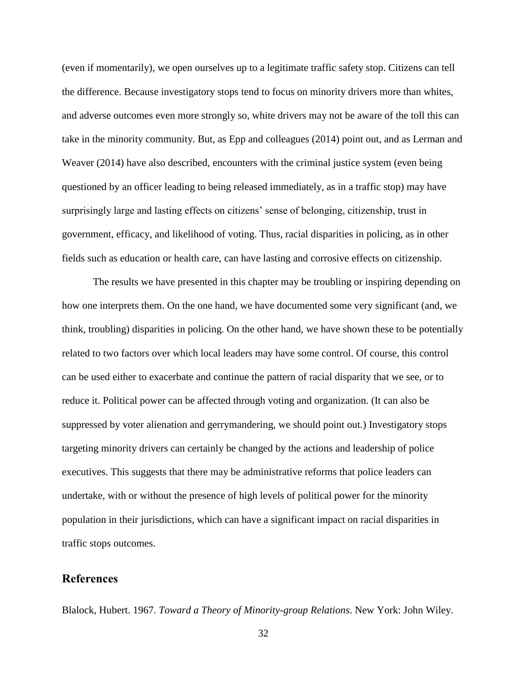(even if momentarily), we open ourselves up to a legitimate traffic safety stop. Citizens can tell the difference. Because investigatory stops tend to focus on minority drivers more than whites, and adverse outcomes even more strongly so, white drivers may not be aware of the toll this can take in the minority community. But, as Epp and colleagues (2014) point out, and as Lerman and Weaver (2014) have also described, encounters with the criminal justice system (even being questioned by an officer leading to being released immediately, as in a traffic stop) may have surprisingly large and lasting effects on citizens' sense of belonging, citizenship, trust in government, efficacy, and likelihood of voting. Thus, racial disparities in policing, as in other fields such as education or health care, can have lasting and corrosive effects on citizenship.

The results we have presented in this chapter may be troubling or inspiring depending on how one interprets them. On the one hand, we have documented some very significant (and, we think, troubling) disparities in policing. On the other hand, we have shown these to be potentially related to two factors over which local leaders may have some control. Of course, this control can be used either to exacerbate and continue the pattern of racial disparity that we see, or to reduce it. Political power can be affected through voting and organization. (It can also be suppressed by voter alienation and gerrymandering, we should point out.) Investigatory stops targeting minority drivers can certainly be changed by the actions and leadership of police executives. This suggests that there may be administrative reforms that police leaders can undertake, with or without the presence of high levels of political power for the minority population in their jurisdictions, which can have a significant impact on racial disparities in traffic stops outcomes.

## **References**

Blalock, Hubert. 1967. *Toward a Theory of Minority-group Relations*. New York: John Wiley.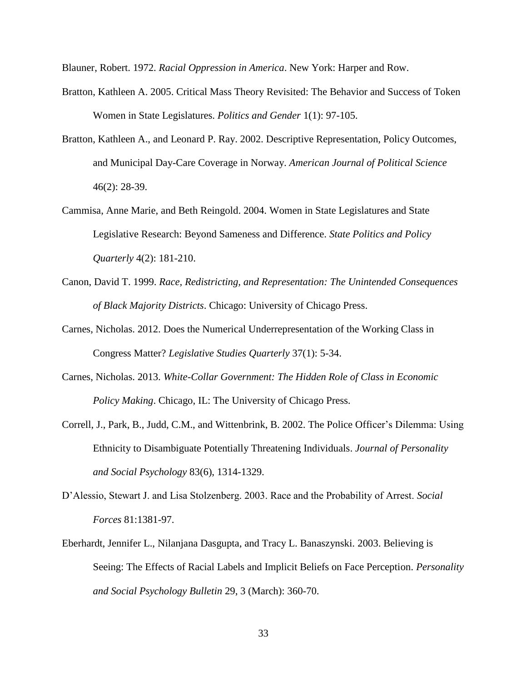Blauner, Robert. 1972. *Racial Oppression in America*. New York: Harper and Row.

- Bratton, Kathleen A. 2005. Critical Mass Theory Revisited: The Behavior and Success of Token Women in State Legislatures. *Politics and Gender* 1(1): 97-105.
- Bratton, Kathleen A., and Leonard P. Ray. 2002. Descriptive Representation, Policy Outcomes, and Municipal Day-Care Coverage in Norway. *American Journal of Political Science* 46(2): 28-39.
- Cammisa, Anne Marie, and Beth Reingold. 2004. Women in State Legislatures and State Legislative Research: Beyond Sameness and Difference. *State Politics and Policy Quarterly* 4(2): 181-210.
- Canon, David T. 1999. *Race, Redistricting, and Representation: The Unintended Consequences of Black Majority Districts*. Chicago: University of Chicago Press.
- Carnes, Nicholas. 2012. Does the Numerical Underrepresentation of the Working Class in Congress Matter? *Legislative Studies Quarterly* 37(1): 5-34.
- Carnes, Nicholas. 2013. *White-Collar Government: The Hidden Role of Class in Economic Policy Making*. Chicago, IL: The University of Chicago Press.
- Correll, J., Park, B., Judd, C.M., and Wittenbrink, B. 2002. The Police Officer's Dilemma: Using Ethnicity to Disambiguate Potentially Threatening Individuals. *Journal of Personality and Social Psychology* 83(6), 1314-1329.
- D'Alessio, Stewart J. and Lisa Stolzenberg. 2003. Race and the Probability of Arrest. *Social Forces* 81:1381-97.
- Eberhardt, Jennifer L., Nilanjana Dasgupta, and Tracy L. Banaszynski. 2003. Believing is Seeing: The Effects of Racial Labels and Implicit Beliefs on Face Perception. *Personality and Social Psychology Bulletin* 29, 3 (March): 360-70.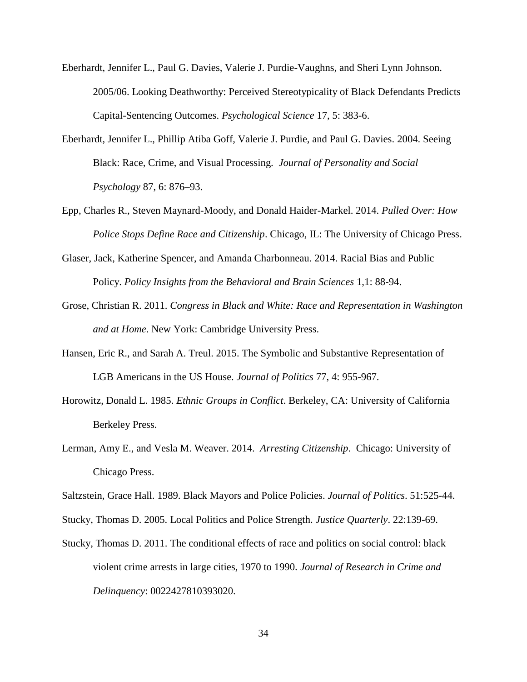- Eberhardt, Jennifer L., Paul G. Davies, Valerie J. Purdie-Vaughns, and Sheri Lynn Johnson. 2005/06. Looking Deathworthy: Perceived Stereotypicality of Black Defendants Predicts Capital-Sentencing Outcomes. *Psychological Science* 17, 5: 383-6.
- Eberhardt, Jennifer L., Phillip Atiba Goff, Valerie J. Purdie, and Paul G. Davies. 2004. Seeing Black: Race, Crime, and Visual Processing. *Journal of Personality and Social Psychology* 87, 6: 876–93.
- Epp, Charles R., Steven Maynard-Moody, and Donald Haider-Markel. 2014. *Pulled Over: How Police Stops Define Race and Citizenship*. Chicago, IL: The University of Chicago Press.
- Glaser, Jack, Katherine Spencer, and Amanda Charbonneau. 2014. Racial Bias and Public Policy. *Policy Insights from the Behavioral and Brain Sciences* 1,1: 88-94.
- Grose, Christian R. 2011. *Congress in Black and White: Race and Representation in Washington and at Home*. New York: Cambridge University Press.
- Hansen, Eric R., and Sarah A. Treul. 2015. The Symbolic and Substantive Representation of LGB Americans in the US House. *Journal of Politics* 77, 4: 955-967.
- Horowitz, Donald L. 1985. *Ethnic Groups in Conflict*. Berkeley, CA: University of California Berkeley Press.
- Lerman, Amy E., and Vesla M. Weaver. 2014. *Arresting Citizenship*. Chicago: University of Chicago Press.
- Saltzstein, Grace Hall. 1989. Black Mayors and Police Policies. *Journal of Politics*. 51:525-44.
- Stucky, Thomas D. 2005. Local Politics and Police Strength. *Justice Quarterly*. 22:139-69.
- Stucky, Thomas D. 2011. The conditional effects of race and politics on social control: black violent crime arrests in large cities, 1970 to 1990. *Journal of Research in Crime and Delinquency*: 0022427810393020.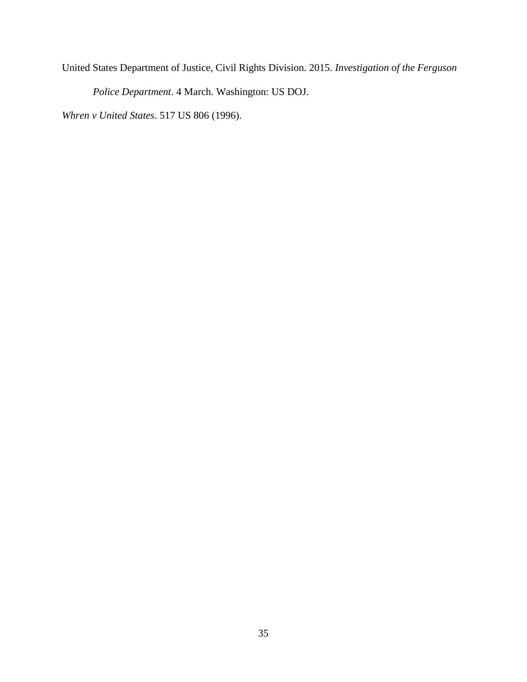United States Department of Justice, Civil Rights Division. 2015. *Investigation of the Ferguson* 

*Police Department*. 4 March. Washington: US DOJ.

*Whren v United States*. 517 US 806 (1996).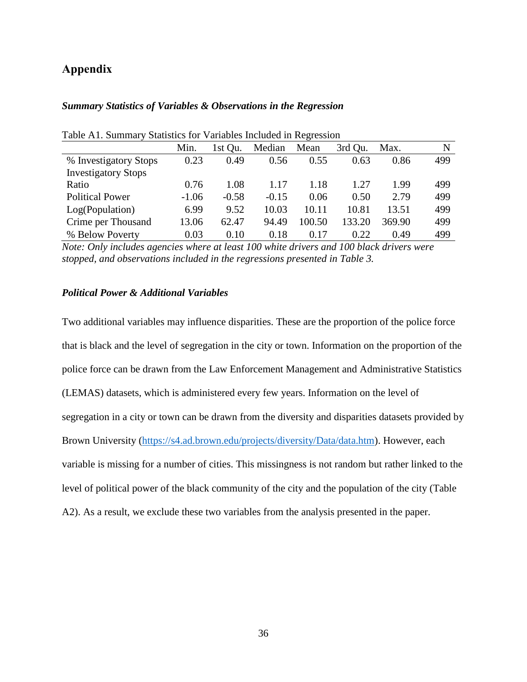## **Appendix**

#### *Summary Statistics of Variables & Observations in the Regression*

|                            | Min.    | 1st Qu. | Median  | Mean   | 3rd Ou. | Max.   | N   |
|----------------------------|---------|---------|---------|--------|---------|--------|-----|
| % Investigatory Stops      | 0.23    | 0.49    | 0.56    | 0.55   | 0.63    | 0.86   | 499 |
| <b>Investigatory Stops</b> |         |         |         |        |         |        |     |
| Ratio                      | 0.76    | 1.08    | 1.17    | 1.18   | 1.27    | 1.99   | 499 |
| <b>Political Power</b>     | $-1.06$ | $-0.58$ | $-0.15$ | 0.06   | 0.50    | 2.79   | 499 |
| Log(Population)            | 6.99    | 9.52    | 10.03   | 10.11  | 10.81   | 13.51  | 499 |
| Crime per Thousand         | 13.06   | 62.47   | 94.49   | 100.50 | 133.20  | 369.90 | 499 |
| % Below Poverty            | 0.03    | 0.10    | 0.18    | 0.17   | 0.22    | 0.49   | 499 |

Table A1. Summary Statistics for Variables Included in Regression

*Note: Only includes agencies where at least 100 white drivers and 100 black drivers were stopped, and observations included in the regressions presented in Table 3.* 

### *Political Power & Additional Variables*

Two additional variables may influence disparities. These are the proportion of the police force that is black and the level of segregation in the city or town. Information on the proportion of the police force can be drawn from the Law Enforcement Management and Administrative Statistics (LEMAS) datasets, which is administered every few years. Information on the level of segregation in a city or town can be drawn from the diversity and disparities datasets provided by Brown University [\(https://s4.ad.brown.edu/projects/diversity/Data/data.htm\)](https://s4.ad.brown.edu/projects/diversity/Data/data.htm). However, each variable is missing for a number of cities. This missingness is not random but rather linked to the level of political power of the black community of the city and the population of the city (Table A2). As a result, we exclude these two variables from the analysis presented in the paper.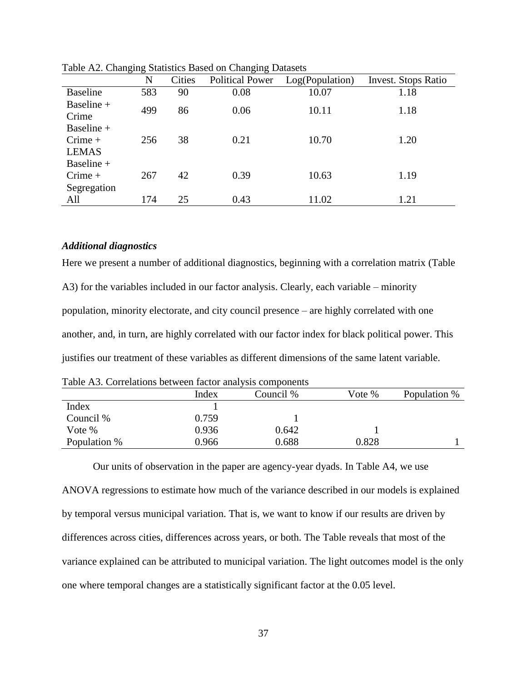|                                            | $\circ$<br>N | <b>Cities</b> | $\circ$<br><b>Political Power</b> | Log(Population) | <b>Invest.</b> Stops Ratio |
|--------------------------------------------|--------------|---------------|-----------------------------------|-----------------|----------------------------|
| <b>Baseline</b>                            | 583          | 90            | 0.08                              | 10.07           | 1.18                       |
| Baseline +<br>Crime                        | 499          | 86            | 0.06                              | 10.11           | 1.18                       |
| Baseline $+$<br>$C$ rime +<br><b>LEMAS</b> | 256          | 38            | 0.21                              | 10.70           | 1.20                       |
| Baseline +<br>$C$ rime +<br>Segregation    | 267          | 42            | 0.39                              | 10.63           | 1.19                       |
| All                                        | 174          | 25            | 0.43                              | 11.02           | 1.21                       |

Table A2. Changing Statistics Based on Changing Datasets

#### *Additional diagnostics*

Here we present a number of additional diagnostics, beginning with a correlation matrix (Table A3) for the variables included in our factor analysis. Clearly, each variable – minority population, minority electorate, and city council presence – are highly correlated with one another, and, in turn, are highly correlated with our factor index for black political power. This justifies our treatment of these variables as different dimensions of the same latent variable.

Table A3. Correlations between factor analysis components

|              | Index | Council % | Vote % | Population % |
|--------------|-------|-----------|--------|--------------|
| Index        |       |           |        |              |
| Council %    | 0.759 |           |        |              |
| Vote %       | 0.936 | 0.642     |        |              |
| Population % | 0.966 | 0.688     | 0.828  |              |

Our units of observation in the paper are agency-year dyads. In Table A4, we use ANOVA regressions to estimate how much of the variance described in our models is explained by temporal versus municipal variation. That is, we want to know if our results are driven by differences across cities, differences across years, or both. The Table reveals that most of the variance explained can be attributed to municipal variation. The light outcomes model is the only one where temporal changes are a statistically significant factor at the 0.05 level.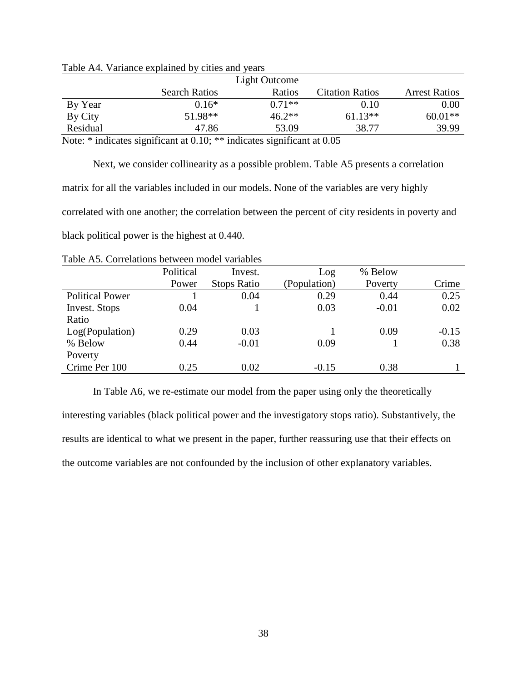|            |                      | Light Outcome        |                        |                      |
|------------|----------------------|----------------------|------------------------|----------------------|
|            | <b>Search Ratios</b> | Ratios               | <b>Citation Ratios</b> | <b>Arrest Ratios</b> |
| By Year    | $0.16*$              | $0.71**$             | 0.10                   | 0.00                 |
| By City    | 51.98**              | $46.2**$             | $61.13**$              | $60.01**$            |
| Residual   | 47.86                | 53.09                | 38.77                  | 39.99                |
| -- - - - - | $\sim$<br>.          | $\sim$ $\sim$ $\sim$ | - - -                  |                      |

Table A4. Variance explained by cities and years

Note: \* indicates significant at 0.10; \*\* indicates significant at 0.05

Next, we consider collinearity as a possible problem. Table A5 presents a correlation matrix for all the variables included in our models. None of the variables are very highly correlated with one another; the correlation between the percent of city residents in poverty and black political power is the highest at 0.440.

|                        | Political | Invest.            | Log          | % Below |         |
|------------------------|-----------|--------------------|--------------|---------|---------|
|                        | Power     | <b>Stops Ratio</b> | (Population) | Poverty | Crime   |
| <b>Political Power</b> |           | 0.04               | 0.29         | 0.44    | 0.25    |
| Invest. Stops          | 0.04      |                    | 0.03         | $-0.01$ | 0.02    |
| Ratio                  |           |                    |              |         |         |
| Log(Population)        | 0.29      | 0.03               |              | 0.09    | $-0.15$ |
| % Below                | 0.44      | $-0.01$            | 0.09         |         | 0.38    |
| Poverty                |           |                    |              |         |         |
| Crime Per 100          | 0.25      | 0.02               | $-0.15$      | 0.38    |         |

Table A5. Correlations between model variables

In Table A6, we re-estimate our model from the paper using only the theoretically

interesting variables (black political power and the investigatory stops ratio). Substantively, the results are identical to what we present in the paper, further reassuring use that their effects on the outcome variables are not confounded by the inclusion of other explanatory variables.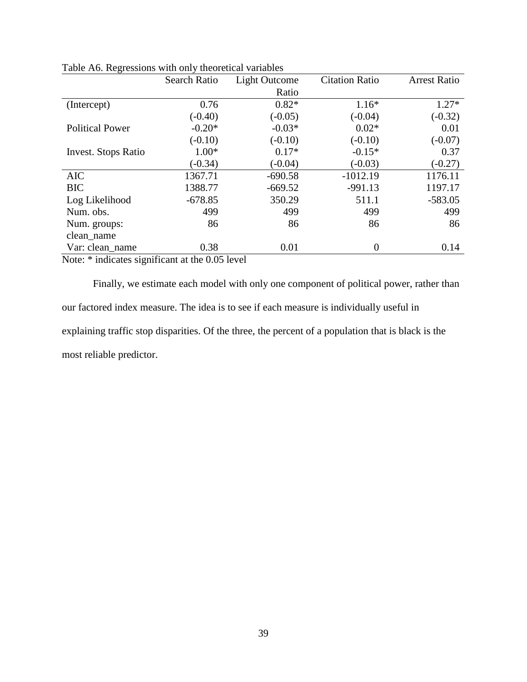|                                                                                  | Search Ratio                                      | <b>Light Outcome</b> | <b>Citation Ratio</b> | <b>Arrest Ratio</b> |
|----------------------------------------------------------------------------------|---------------------------------------------------|----------------------|-----------------------|---------------------|
|                                                                                  |                                                   |                      |                       |                     |
|                                                                                  |                                                   | Ratio                |                       |                     |
| (Intercept)                                                                      | 0.76                                              | $0.82*$              | $1.16*$               | $1.27*$             |
|                                                                                  | $(-0.40)$                                         | $(-0.05)$            | $(-0.04)$             | $(-0.32)$           |
| <b>Political Power</b>                                                           | $-0.20*$                                          | $-0.03*$             | $0.02*$               | 0.01                |
|                                                                                  | $(-0.10)$                                         | $(-0.10)$            | $(-0.10)$             | $(-0.07)$           |
| <b>Invest.</b> Stops Ratio                                                       | $1.00*$                                           | $0.17*$              | $-0.15*$              | 0.37                |
|                                                                                  | $(-0.34)$                                         | $(-0.04)$            | $(-0.03)$             | $(-0.27)$           |
| <b>AIC</b>                                                                       | 1367.71                                           | $-690.58$            | $-1012.19$            | 1176.11             |
| <b>BIC</b>                                                                       | 1388.77                                           | $-669.52$            | $-991.13$             | 1197.17             |
| Log Likelihood                                                                   | $-678.85$                                         | 350.29               | 511.1                 | $-583.05$           |
| Num. obs.                                                                        | 499                                               | 499                  | 499                   | 499                 |
| Num. groups:                                                                     | 86                                                | 86                   | 86                    | 86                  |
| clean_name                                                                       |                                                   |                      |                       |                     |
| Var: clean_name                                                                  | 0.38                                              | 0.01                 | $\overline{0}$        | 0.14                |
| $\mathbf{M}$ and $\mathbf{M}$ and $\mathbf{M}$ and $\mathbf{M}$ are $\mathbf{M}$ | $\cdot$ $\sim$<br>$\bigcap \bigcap \mathcal{F}$ 1 | $\mathbf{1}$         |                       |                     |

Table A6. Regressions with only theoretical variables

Finally, we estimate each model with only one component of political power, rather than our factored index measure. The idea is to see if each measure is individually useful in explaining traffic stop disparities. Of the three, the percent of a population that is black is the most reliable predictor.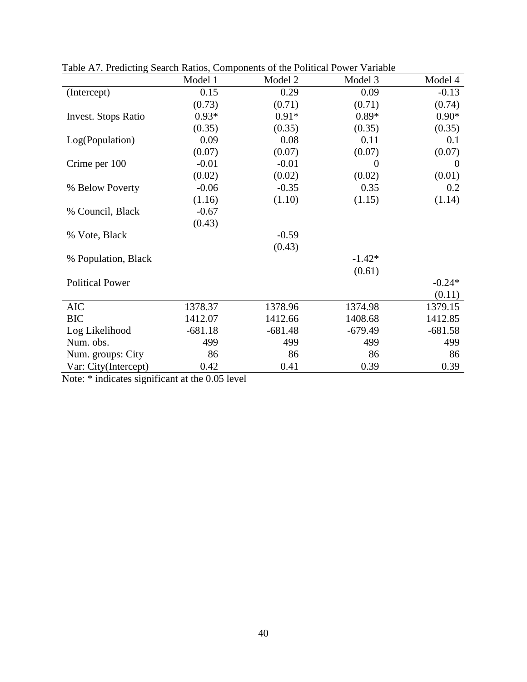|                            | Model 1   | Model 2   | Model 3   | Model 4        |
|----------------------------|-----------|-----------|-----------|----------------|
| (Intercept)                | 0.15      | 0.29      | 0.09      | $-0.13$        |
|                            | (0.73)    | (0.71)    | (0.71)    | (0.74)         |
| <b>Invest.</b> Stops Ratio | $0.93*$   | $0.91*$   | $0.89*$   | $0.90*$        |
|                            | (0.35)    | (0.35)    | (0.35)    | (0.35)         |
| Log(Population)            | 0.09      | 0.08      | 0.11      | 0.1            |
|                            | (0.07)    | (0.07)    | (0.07)    | (0.07)         |
| Crime per 100              | $-0.01$   | $-0.01$   | $\theta$  | $\overline{0}$ |
|                            | (0.02)    | (0.02)    | (0.02)    | (0.01)         |
| % Below Poverty            | $-0.06$   | $-0.35$   | 0.35      | 0.2            |
|                            | (1.16)    | (1.10)    | (1.15)    | (1.14)         |
| % Council, Black           | $-0.67$   |           |           |                |
|                            | (0.43)    |           |           |                |
| % Vote, Black              |           | $-0.59$   |           |                |
|                            |           | (0.43)    |           |                |
| % Population, Black        |           |           | $-1.42*$  |                |
|                            |           |           | (0.61)    |                |
| <b>Political Power</b>     |           |           |           | $-0.24*$       |
|                            |           |           |           | (0.11)         |
| <b>AIC</b>                 | 1378.37   | 1378.96   | 1374.98   | 1379.15        |
| <b>BIC</b>                 | 1412.07   | 1412.66   | 1408.68   | 1412.85        |
| Log Likelihood             | $-681.18$ | $-681.48$ | $-679.49$ | $-681.58$      |
| Num. obs.                  | 499       | 499       | 499       | 499            |
| Num. groups: City          | 86        | 86        | 86        | 86             |
| Var: City(Intercept)       | 0.42      | 0.41      | 0.39      | 0.39           |

Table A7. Predicting Search Ratios, Components of the Political Power Variable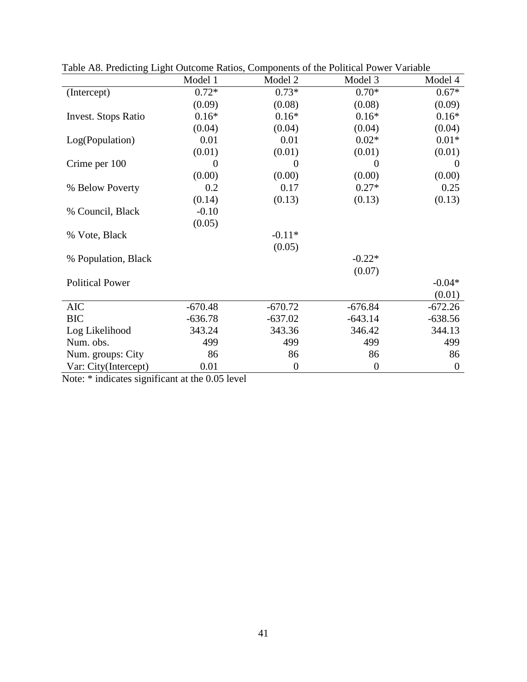|                            | Model 1   | Light Suitsme Radios, Components of the Political Power<br>Model 2 | Model 3          | Model 4          |
|----------------------------|-----------|--------------------------------------------------------------------|------------------|------------------|
| (Intercept)                | $0.72*$   | $0.73*$                                                            | $0.70*$          | $0.67*$          |
|                            | (0.09)    | (0.08)                                                             | (0.08)           | (0.09)           |
| <b>Invest.</b> Stops Ratio | $0.16*$   | $0.16*$                                                            | $0.16*$          | $0.16*$          |
|                            | (0.04)    | (0.04)                                                             | (0.04)           | (0.04)           |
| Log(Population)            | 0.01      | 0.01                                                               | $0.02*$          | $0.01*$          |
|                            | (0.01)    | (0.01)                                                             | (0.01)           | (0.01)           |
| Crime per 100              | 0         | $\Omega$                                                           | $\Omega$         | $\Omega$         |
|                            | (0.00)    | (0.00)                                                             | (0.00)           | (0.00)           |
| % Below Poverty            | 0.2       | 0.17                                                               | $0.27*$          | 0.25             |
|                            | (0.14)    | (0.13)                                                             | (0.13)           | (0.13)           |
| % Council, Black           | $-0.10$   |                                                                    |                  |                  |
|                            | (0.05)    |                                                                    |                  |                  |
| % Vote, Black              |           | $-0.11*$                                                           |                  |                  |
|                            |           | (0.05)                                                             |                  |                  |
| % Population, Black        |           |                                                                    | $-0.22*$         |                  |
|                            |           |                                                                    | (0.07)           |                  |
| <b>Political Power</b>     |           |                                                                    |                  | $-0.04*$         |
|                            |           |                                                                    |                  | (0.01)           |
| <b>AIC</b>                 | $-670.48$ | $-670.72$                                                          | $-676.84$        | $-672.26$        |
| <b>BIC</b>                 | $-636.78$ | $-637.02$                                                          | $-643.14$        | $-638.56$        |
| Log Likelihood             | 343.24    | 343.36                                                             | 346.42           | 344.13           |
| Num. obs.                  | 499       | 499                                                                | 499              | 499              |
| Num. groups: City          | 86        | 86                                                                 | 86               | 86               |
| Var: City(Intercept)       | 0.01      | $\boldsymbol{0}$                                                   | $\boldsymbol{0}$ | $\boldsymbol{0}$ |

Table A8. Predicting Light Outcome Ratios, Components of the Political Power Variable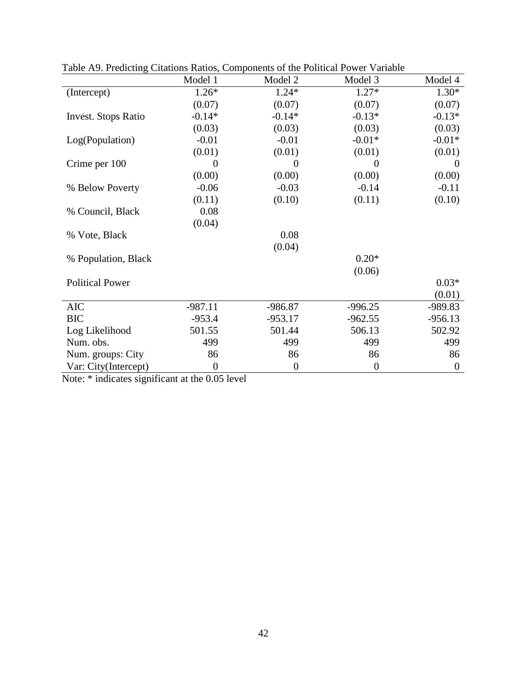| raole 112. I rearching Chamons Kanos, Components of the Fontreal Fower Variable |                  |                |                  |                  |
|---------------------------------------------------------------------------------|------------------|----------------|------------------|------------------|
|                                                                                 | Model 1          | Model 2        | Model 3          | Model 4          |
| (Intercept)                                                                     | $1.26*$          | $1.24*$        | $1.27*$          | $1.30*$          |
|                                                                                 | (0.07)           | (0.07)         | (0.07)           | (0.07)           |
| Invest. Stops Ratio                                                             | $-0.14*$         | $-0.14*$       | $-0.13*$         | $-0.13*$         |
|                                                                                 | (0.03)           | (0.03)         | (0.03)           | (0.03)           |
| Log(Population)                                                                 | $-0.01$          | $-0.01$        | $-0.01*$         | $-0.01*$         |
|                                                                                 | (0.01)           | (0.01)         | (0.01)           | (0.01)           |
| Crime per 100                                                                   | 0                | $\Omega$       | $\theta$         | $\theta$         |
|                                                                                 | (0.00)           | (0.00)         | (0.00)           | (0.00)           |
| % Below Poverty                                                                 | $-0.06$          | $-0.03$        | $-0.14$          | $-0.11$          |
|                                                                                 | (0.11)           | (0.10)         | (0.11)           | (0.10)           |
| % Council, Black                                                                | 0.08             |                |                  |                  |
|                                                                                 | (0.04)           |                |                  |                  |
| % Vote, Black                                                                   |                  | 0.08           |                  |                  |
|                                                                                 |                  | (0.04)         |                  |                  |
| % Population, Black                                                             |                  |                | $0.20*$          |                  |
|                                                                                 |                  |                | (0.06)           |                  |
| <b>Political Power</b>                                                          |                  |                |                  | $0.03*$          |
|                                                                                 |                  |                |                  | (0.01)           |
| <b>AIC</b>                                                                      | $-987.11$        | $-986.87$      | $-996.25$        | -989.83          |
| <b>BIC</b>                                                                      | $-953.4$         | $-953.17$      | $-962.55$        | $-956.13$        |
| Log Likelihood                                                                  | 501.55           | 501.44         | 506.13           | 502.92           |
| Num. obs.                                                                       | 499              | 499            | 499              | 499              |
| Num. groups: City                                                               | 86               | 86             | 86               | 86               |
| Var: City(Intercept)                                                            | $\boldsymbol{0}$ | $\overline{0}$ | $\boldsymbol{0}$ | $\boldsymbol{0}$ |

Table A9. Predicting Citations Ratios, Components of the Political Power Variable